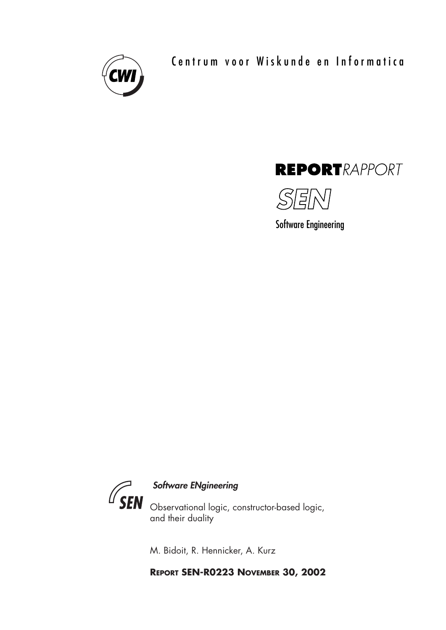

Centrum voor Wiskunde en Informatica





Software Engineering



M. Bidoit, R. Hennicker, A. Kurz

**REPORT SEN-R0223 NOVEMBER 30, 2002**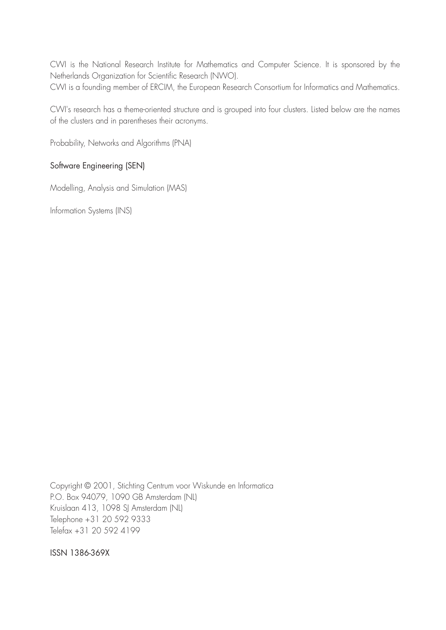CWI is the National Research Institute for Mathematics and Computer Science. It is sponsored by the Netherlands Organization for Scientific Research (NWO). CWI is a founding member of ERCIM, the European Research Consortium for Informatics and Mathematics.

CWI's research has a theme-oriented structure and is grouped into four clusters. Listed below are the names of the clusters and in parentheses their acronyms.

Probability, Networks and Algorithms (PNA)

# Software Engineering (SEN)

Modelling, Analysis and Simulation (MAS)

Information Systems (INS)

Copyright © 2001, Stichting Centrum voor Wiskunde en Informatica P.O. Box 94079, 1090 GB Amsterdam (NL) Kruislaan 413, 1098 SJ Amsterdam (NL) Telephone +31 20 592 9333 Telefax +31 20 592 4199

ISSN 1386-369X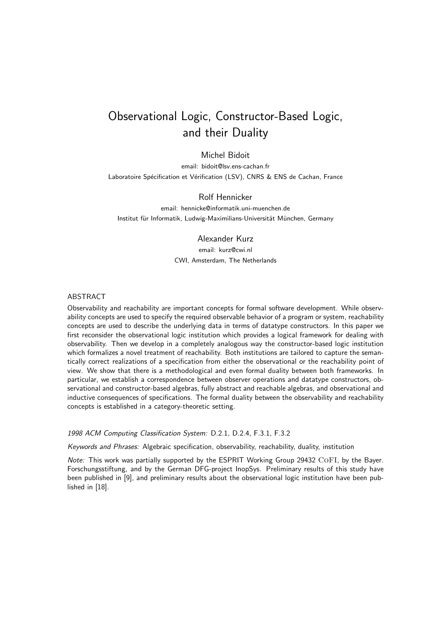# Observational Logic, Constructor-Based Logic, and their Duality

# Michel Bidoit

email: bidoit@lsv.ens-cachan.fr Laboratoire Spécification et Vérification (LSV), CNRS & ENS de Cachan, France

### Rolf Hennicker

email: hennicke@informatik.uni-muenchen.de Institut für Informatik, Ludwig-Maximilians-Universität München, Germany

### Alexander Kurz

email: kurz@cwi.nl CWI, Amsterdam, The Netherlands

#### ABSTRACT

Observability and reachability are important concepts for formal software development. While observability concepts are used to specify the required observable behavior of a program or system, reachability concepts are used to describe the underlying data in terms of datatype constructors. In this paper we first reconsider the observational logic institution which provides a logical framework for dealing with observability. Then we develop in a completely analogous way the constructor-based logic institution which formalizes a novel treatment of reachability. Both institutions are tailored to capture the semantically correct realizations of a specification from either the observational or the reachability point of view. We show that there is a methodological and even formal duality between both frameworks. In particular, we establish a correspondence between observer operations and datatype constructors, observational and constructor-based algebras, fully abstract and reachable algebras, and observational and inductive consequences of specifications. The formal duality between the observability and reachability concepts is established in a category-theoretic setting.

1998 ACM Computing Classification System: D.2.1, D.2.4, F.3.1, F.3.2

Keywords and Phrases: Algebraic specification, observability, reachability, duality, institution

Note: This work was partially supported by the ESPRIT Working Group 29432 CoFI, by the Bayer. Forschungsstiftung, and by the German DFG-project InopSys. Preliminary results of this study have been published in [9], and preliminary results about the observational logic institution have been published in [18].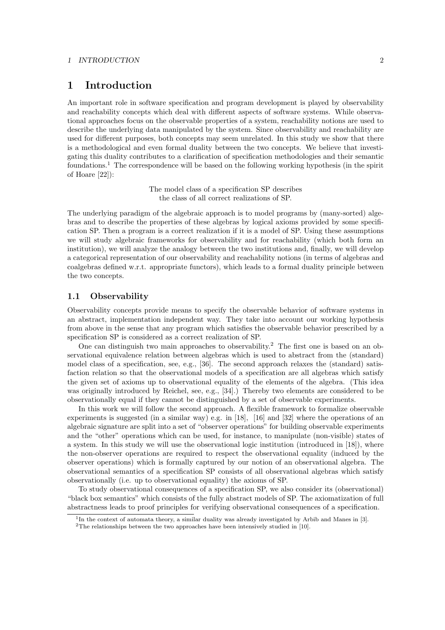#### *1 INTRODUCTION* 2

# **1 Introduction**

An important role in software specification and program development is played by observability and reachability concepts which deal with different aspects of software systems. While observational approaches focus on the observable properties of a system, reachability notions are used to describe the underlying data manipulated by the system. Since observability and reachability are used for different purposes, both concepts may seem unrelated. In this study we show that there is a methodological and even formal duality between the two concepts. We believe that investigating this duality contributes to a clarification of specification methodologies and their semantic foundations.<sup>1</sup> The correspondence will be based on the following working hypothesis (in the spirit of Hoare [22]):

> The model class of a specification SP describes the class of all correct realizations of SP.

The underlying paradigm of the algebraic approach is to model programs by (many-sorted) algebras and to describe the properties of these algebras by logical axioms provided by some specification SP. Then a program is a correct realization if it is a model of SP. Using these assumptions we will study algebraic frameworks for observability and for reachability (which both form an institution), we will analyze the analogy between the two institutions and, finally, we will develop a categorical representation of our observability and reachability notions (in terms of algebras and coalgebras defined w.r.t. appropriate functors), which leads to a formal duality principle between the two concepts.

## **1.1 Observability**

Observability concepts provide means to specify the observable behavior of software systems in an abstract, implementation independent way. They take into account our working hypothesis from above in the sense that any program which satisfies the observable behavior prescribed by a specification SP is considered as a correct realization of SP.

One can distinguish two main approaches to observability.<sup>2</sup> The first one is based on an observational equivalence relation between algebras which is used to abstract from the (standard) model class of a specification, see, e.g., [36]. The second approach relaxes the (standard) satisfaction relation so that the observational models of a specification are all algebras which satisfy the given set of axioms up to observational equality of the elements of the algebra. (This idea was originally introduced by Reichel, see, e.g., [34].) Thereby two elements are considered to be observationally equal if they cannot be distinguished by a set of observable experiments.

In this work we will follow the second approach. A flexible framework to formalize observable experiments is suggested (in a similar way) e.g. in [18], [16] and [32] where the operations of an algebraic signature are split into a set of "observer operations" for building observable experiments and the "other" operations which can be used, for instance, to manipulate (non-visible) states of a system. In this study we will use the observational logic institution (introduced in [18]), where the non-observer operations are required to respect the observational equality (induced by the observer operations) which is formally captured by our notion of an observational algebra. The observational semantics of a specification SP consists of all observational algebras which satisfy observationally (i.e. up to observational equality) the axioms of SP.

To study observational consequences of a specification SP, we also consider its (observational) "black box semantics" which consists of the fully abstract models of SP. The axiomatization of full abstractness leads to proof principles for verifying observational consequences of a specification.

 $1$ In the context of automata theory, a similar duality was already investigated by Arbib and Manes in [3].

<sup>&</sup>lt;sup>2</sup>The relationships between the two approaches have been intensively studied in [10].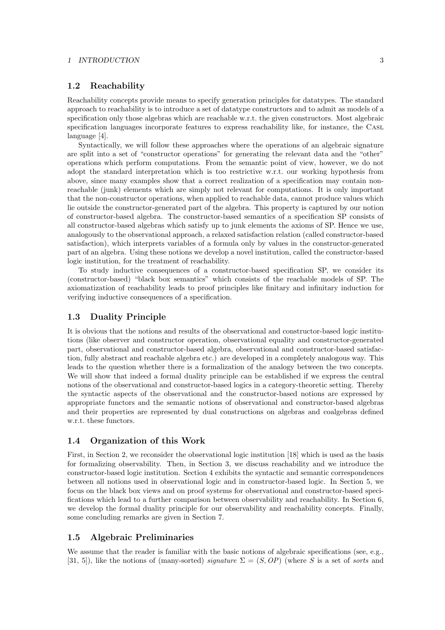#### *1 INTRODUCTION* 3

### **1.2 Reachability**

Reachability concepts provide means to specify generation principles for datatypes. The standard approach to reachability is to introduce a set of datatype constructors and to admit as models of a specification only those algebras which are reachable w.r.t. the given constructors. Most algebraic specification languages incorporate features to express reachability like, for instance, the Casl language [4].

Syntactically, we will follow these approaches where the operations of an algebraic signature are split into a set of "constructor operations" for generating the relevant data and the "other" operations which perform computations. From the semantic point of view, however, we do not adopt the standard interpretation which is too restrictive w.r.t. our working hypothesis from above, since many examples show that a correct realization of a specification may contain nonreachable (junk) elements which are simply not relevant for computations. It is only important that the non-constructor operations, when applied to reachable data, cannot produce values which lie outside the constructor-generated part of the algebra. This property is captured by our notion of constructor-based algebra. The constructor-based semantics of a specification SP consists of all constructor-based algebras which satisfy up to junk elements the axioms of SP. Hence we use, analogously to the observational approach, a relaxed satisfaction relation (called constructor-based satisfaction), which interprets variables of a formula only by values in the constructor-generated part of an algebra. Using these notions we develop a novel institution, called the constructor-based logic institution, for the treatment of reachability.

To study inductive consequences of a constructor-based specification SP, we consider its (constructor-based) "black box semantics" which consists of the reachable models of SP. The axiomatization of reachability leads to proof principles like finitary and infinitary induction for verifying inductive consequences of a specification.

# **1.3 Duality Principle**

It is obvious that the notions and results of the observational and constructor-based logic institutions (like observer and constructor operation, observational equality and constructor-generated part, observational and constructor-based algebra, observational and constructor-based satisfaction, fully abstract and reachable algebra etc.) are developed in a completely analogous way. This leads to the question whether there is a formalization of the analogy between the two concepts. We will show that indeed a formal duality principle can be established if we express the central notions of the observational and constructor-based logics in a category-theoretic setting. Thereby the syntactic aspects of the observational and the constructor-based notions are expressed by appropriate functors and the semantic notions of observational and constructor-based algebras and their properties are represented by dual constructions on algebras and coalgebras defined w.r.t. these functors.

## **1.4 Organization of this Work**

First, in Section 2, we reconsider the observational logic institution [18] which is used as the basis for formalizing observability. Then, in Section 3, we discuss reachability and we introduce the constructor-based logic institution. Section 4 exhibits the syntactic and semantic correspondences between all notions used in observational logic and in constructor-based logic. In Section 5, we focus on the black box views and on proof systems for observational and constructor-based specifications which lead to a further comparison between observability and reachability. In Section 6, we develop the formal duality principle for our observability and reachability concepts. Finally, some concluding remarks are given in Section 7.

### **1.5 Algebraic Preliminaries**

We assume that the reader is familiar with the basic notions of algebraic specifications (see, e.g., [31, 5]), like the notions of (many-sorted) *signature*  $\Sigma = (S, OP)$  (where S is a set of *sorts* and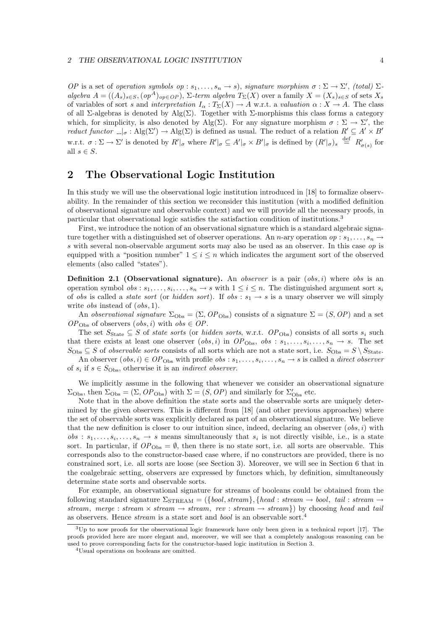*OP* is a set of *operation symbols op* :  $s_1, \ldots, s_n \to s$ , *signature morphism*  $\sigma : \Sigma \to \Sigma'$ , *(total)*  $\Sigma$ algebra  $A = ((A_s)_{s \in S}, (\text{op}^A)_{\text{op} \in OP})$ ,  $\Sigma$ -term algebra  $T_{\Sigma}(X)$  over a family  $X = (X_s)_{s \in S}$  of sets  $X_s$ of variables of sort s and interpretation  $I_{\alpha}: T_{\Sigma}(X) \to A$  w.r.t. a valuation  $\alpha: X \to A$ . The class of all Σ-algebras is denoted by Alg(Σ). Together with Σ-morphisms this class forms a category which, for simplicity, is also denoted by Alg( $\Sigma$ ). For any signature morphism  $\sigma : \Sigma \to \Sigma'$ , the reduct functor  $\Box_{\sigma}$ : Alg( $\Sigma'$ )  $\to$  Alg( $\Sigma$ ) is defined as usual. The reduct of a relation  $R' \subseteq A' \times B'$ w.r.t.  $\sigma : \Sigma \to \Sigma'$  is denoted by  $R' \vert_{\sigma}$  where  $R' \vert_{\sigma} \subseteq A' \vert_{\sigma} \times B' \vert_{\sigma}$  is defined by  $(R' \vert_{\sigma})_s \stackrel{\text{def}}{=} R'_{\sigma(s)}$  for all  $s \in S$ .

# **2 The Observational Logic Institution**

In this study we will use the observational logic institution introduced in [18] to formalize observability. In the remainder of this section we reconsider this institution (with a modified definition of observational signature and observable context) and we will provide all the necessary proofs, in particular that observational logic satisfies the satisfaction condition of institutions.<sup>3</sup>

First, we introduce the notion of an observational signature which is a standard algebraic signature together with a distinguished set of observer operations. An n-ary operation op :  $s_1, \ldots, s_n \rightarrow$ s with several non-observable argument sorts may also be used as an observer. In this case op is equipped with a "position number"  $1 \leq i \leq n$  which indicates the argument sort of the observed elements (also called "states").

**Definition 2.1 (Observational signature).** An *observer* is a pair  $(obs, i)$  where *obs* is an operation symbol  $obs : s_1, \ldots, s_i, \ldots, s_n \to s$  with  $1 \leq i \leq n$ . The distinguished argument sort  $s_i$ of obs is called a *state sort* (or *hidden sort*). If obs :  $s_1 \rightarrow s$  is a unary observer we will simply write *obs* instead of  $(obs, 1)$ .

An observational signature  $\Sigma_{\text{Obs}} = (\Sigma, OP_{\text{Obs}})$  consists of a signature  $\Sigma = (S, OP)$  and a set  $OP<sub>Obs</sub>$  of observers  $(obs, i)$  with  $obs \in OP$ .

The set  $S_{\text{State}} \subseteq S$  of state sorts (or hidden sorts, w.r.t.  $OP_{\text{Obs}}$ ) consists of all sorts  $s_i$  such that there exists at least one observer  $(obs, i)$  in  $OP_{Obs}$ ,  $obs : s_1, \ldots, s_i, \ldots, s_n \rightarrow s$ . The set  $S_{\text{Obs}} \subseteq S$  of *observable sorts* consists of all sorts which are not a state sort, i.e.  $S_{\text{Obs}} = S \setminus S_{\text{State}}$ .

An observer  $(obs, i) \in OP_{\text{Obs}}$  with profile  $obs : s_1, \ldots, s_i, \ldots, s_n \to s$  is called a *direct observer* of  $s_i$  if  $s \in S_{\text{Obs}}$ , otherwise it is an *indirect observer*.

We implicitly assume in the following that whenever we consider an observational signature  $\Sigma_{\text{Obs}}$ , then  $\Sigma_{\text{Obs}} = (\Sigma, OP_{\text{Obs}})$  with  $\Sigma = (S, OP)$  and similarly for  $\Sigma'_{\text{Obs}}$  etc.

Note that in the above definition the state sorts and the observable sorts are uniquely determined by the given observers. This is different from [18] (and other previous approaches) where the set of observable sorts was explicitly declared as part of an observational signature. We believe that the new definition is closer to our intuition since, indeed, declaring an observer  $(obs, i)$  with  $obs: s_1, \ldots, s_i, \ldots, s_n \rightarrow s$  means simultaneously that  $s_i$  is not directly visible, i.e., is a state sort. In particular, if  $OP<sub>Obs</sub> = \emptyset$ , then there is no state sort, i.e. all sorts are observable. This corresponds also to the constructor-based case where, if no constructors are provided, there is no constrained sort, i.e. all sorts are loose (see Section 3). Moreover, we will see in Section 6 that in the coalgebraic setting, observers are expressed by functors which, by definition, simultaneously determine state sorts and observable sorts.

For example, an observational signature for streams of booleans could be obtained from the following standard signature  $\Sigma_{\rm STREAM} = (\{bool, stream\}, \{head: stream \rightarrow bool, tail: stream \rightarrow$ stream, merge : stream  $\times$  stream  $\rightarrow$  stream, rev : stream  $\rightarrow$  stream}) by choosing head and tail as observers. Hence stream is a state sort and bool is an observable sort.<sup>4</sup>

 $3$ Up to now proofs for the observational logic framework have only been given in a technical report [17]. The proofs provided here are more elegant and, moreover, we will see that a completely analogous reasoning can be used to prove corresponding facts for the constructor-based logic institution in Section 3.

<sup>4</sup>Usual operations on booleans are omitted.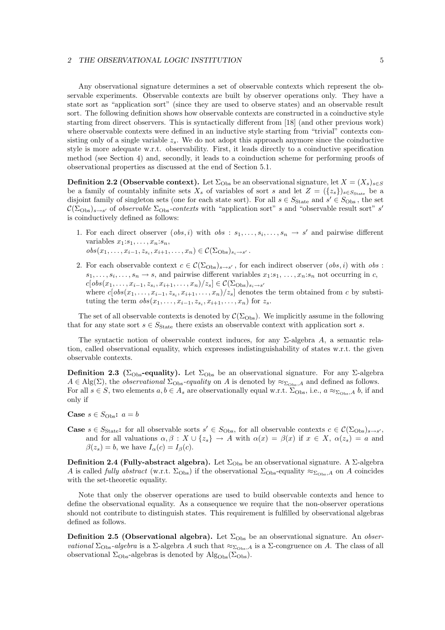#### *2 THE OBSERVATIONAL LOGIC INSTITUTION* 5

Any observational signature determines a set of observable contexts which represent the observable experiments. Observable contexts are built by observer operations only. They have a state sort as "application sort" (since they are used to observe states) and an observable result sort. The following definition shows how observable contexts are constructed in a coinductive style starting from direct observers. This is syntactically different from [18] (and other previous work) where observable contexts were defined in an inductive style starting from "trivial" contexts consisting only of a single variable  $z_s$ . We do not adopt this approach anymore since the coinductive style is more adequate w.r.t. observability. First, it leads directly to a coinductive specification method (see Section 4) and, secondly, it leads to a coinduction scheme for performing proofs of observational properties as discussed at the end of Section 5.1.

**Definition 2.2 (Observable context).** Let  $\Sigma_{\text{Obs}}$  be an observational signature, let  $X = (X_s)_{s \in S}$ be a family of countably infinite sets  $X_s$  of variables of sort s and let  $Z = (\{z_s\})_{s \in S_{\text{State}}}$  be a disjoint family of singleton sets (one for each state sort). For all  $s \in S_{\text{State}}$  and  $s' \in S_{\text{Obs}}$ , the set  $\mathcal{C}(\Sigma_{\text{Obs}})_{s\to s'}$  of *observable*  $\Sigma_{\text{Obs}}$ -contexts with "application sort" s and "observable result sort" s' is coinductively defined as follows:

- 1. For each direct observer  $(obs, i)$  with  $obs : s_1, \ldots, s_i, \ldots, s_n \rightarrow s'$  and pairwise different variables  $x_1:s_1,\ldots,x_n:s_n$ ,  $obs(x_1, \ldots, x_{i-1}, z_{s_i}, x_{i+1}, \ldots, x_n) \in \mathcal{C}(\Sigma_{\text{Obs}})_{s_i \to s'}$ .
- 2. For each observable context  $c \in \mathcal{C}(\Sigma_{\text{Obs}})_{s \to s'}$ , for each indirect observer  $(obs, i)$  with  $obs$ :  $s_1,\ldots,s_i,\ldots,s_n\to s$ , and pairwise different variables  $x_1:s_1,\ldots,x_n:s_n$  not occurring in c,  $c[obs(x_1, \ldots, x_{i-1}, z_s, x_{i+1}, \ldots, x_n)/z_s] \in \mathcal{C}(\Sigma_{\text{Obs}})_{s_i \to s'}$ where  $c[obs(x_1, \ldots, x_{i-1}, z_{s_i}, x_{i+1}, \ldots, x_n)/z_s]$  denotes the term obtained from c by substituting the term  $obs(x_1, \ldots, x_{i-1}, z_{s_i}, x_{i+1}, \ldots, x_n)$  for  $z_s$ .

The set of all observable contexts is denoted by  $\mathcal{C}(\Sigma_{\text{Obs}})$ . We implicitly assume in the following that for any state sort  $s \in S_{\text{State}}$  there exists an observable context with application sort s.

The syntactic notion of observable context induces, for any  $\Sigma$ -algebra A, a semantic relation, called observational equality, which expresses indistinguishability of states w.r.t. the given observable contexts.

**Definition 2.3 (**Σ<sub>Obs</sub>-equality). Let  $\Sigma_{\text{Obs}}$  be an observational signature. For any Σ-algebra  $A \in Alg(\Sigma)$ , the *observational*  $\Sigma_{\text{Obs}}$ -equality on A is denoted by  $\approx_{\Sigma_{\text{Obs}},A}$  and defined as follows. For all  $s \in S$ , two elements  $a, b \in A_s$  are observationally equal w.r.t.  $\Sigma_{\text{Obs}}$ , i.e.,  $a \approx_{\Sigma_{\text{Obs}} A} b$ , if and only if

- **Case**  $s \in S_{\text{Obs}}$ :  $a = b$
- **Case**  $s \in S_{\text{State}}$ : for all observable sorts  $s' \in S_{\text{Obs}}$ , for all observable contexts  $c \in C(\Sigma_{\text{Obs}})_{s \to s'}$ and for all valuations  $\alpha, \beta : X \cup \{z_s\} \to A$  with  $\alpha(x) = \beta(x)$  if  $x \in X$ ,  $\alpha(z_s) = a$  and  $\beta(z_s) = b$ , we have  $I_\alpha(c) = I_\beta(c)$ .

**Definition 2.4 (Fully-abstract algebra).** Let  $\Sigma_{\text{Obs}}$  be an observational signature. A  $\Sigma$ -algebra A is called *fully abstract* (w.r.t.  $\Sigma_{\text{Obs}}$ ) if the observational  $\Sigma_{\text{Obs}}$ -equality  $\approx_{\Sigma_{\text{Obs}},A}$  on A coincides with the set-theoretic equality.

Note that only the observer operations are used to build observable contexts and hence to define the observational equality. As a consequence we require that the non-observer operations should not contribute to distinguish states. This requirement is fulfilled by observational algebras defined as follows.

**Definition 2.5 (Observational algebra).** Let  $\Sigma_{\text{Obs}}$  be an observational signature. An *obser*vational  $\Sigma_{\text{Obs}}$ -algebra is a  $\Sigma$ -algebra A such that  $\approx_{\Sigma_{\text{Obs}}}$  is a  $\Sigma$ -congruence on A. The class of all observational  $\Sigma_{\text{Obs}}$ -algebras is denoted by  $\text{Alg}_{\text{Obs}}(\Sigma_{\text{Obs}})$ .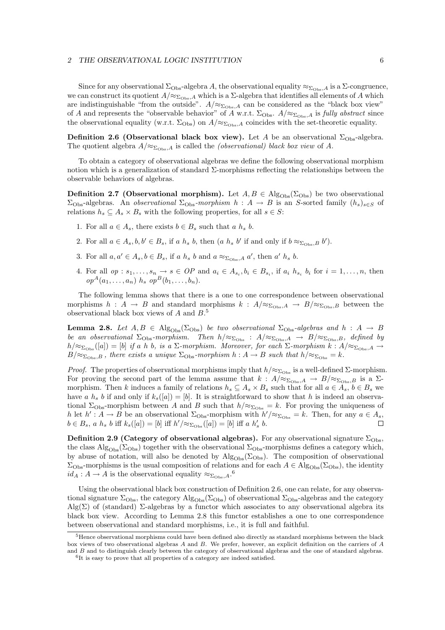#### *2 THE OBSERVATIONAL LOGIC INSTITUTION* 6

Since for any observational  $\Sigma_{\text{Obs}}$ -algebra A, the observational equality  $\approx_{\Sigma_{\text{Obs}},A}$  is a  $\Sigma$ -congruence, we can construct its quotient  $A/\approx_{\Sigma_{\text{Obs}},A}$  which is a  $\Sigma$ -algebra that identifies all elements of A which are indistinguishable "from the outside".  $A/\approx_{\Sigma_{\text{Obs}},A}$  can be considered as the "black box view" of A and represents the "observable behavior" of A w.r.t.  $\Sigma_{\text{Obs}}$ ,  $A/\approx_{\Sigma_{\text{Obs}}A}$  is fully abstract since the observational equality (w.r.t.  $\Sigma_{\text{Obs}}$ ) on  $A/\approx_{\Sigma_{\text{Obs}},A}$  coincides with the set-theoretic equality.

**Definition 2.6 (Observational black box view).** Let A be an observational  $\Sigma_{\text{Obs}}$ -algebra. The quotient algebra  $A/\approx_{\Sigma_{\text{Obs}},A}$  is called the *(observational) black box view* of A.

To obtain a category of observational algebras we define the following observational morphism notion which is a generalization of standard  $\Sigma$ -morphisms reflecting the relationships between the observable behaviors of algebras.

**Definition 2.7 (Observational morphism).** Let  $A, B \in \text{Alg}_{\text{Obs}}(\Sigma_{\text{Obs}})$  be two observational  $\Sigma_{\text{Obs}}$ -algebras. An *observational*  $\Sigma_{\text{Obs}}$ -morphism  $h : A \rightarrow B$  is an S-sorted family  $(h_s)_{s \in S}$  of relations  $h_s \subseteq A_s \times B_s$  with the following properties, for all  $s \in S$ :

- 1. For all  $a \in A_s$ , there exists  $b \in B_s$  such that a  $h_s$  b.
- 2. For all  $a \in A_s, b, b' \in B_s$ , if a  $h_s$  b, then  $(a \ h_s \ b' \text{ if and only if } b \approx_{\Sigma_{\text{Obs}},B} b').$
- 3. For all  $a, a' \in A_s, b \in B_s$ , if a  $h_s$  b and  $a \approx_{\Sigma_{\text{Obs}}, A} a'$ , then  $a'$   $h_s$  b.
- 4. For all  $op : s_1, \ldots, s_n \to s \in OP$  and  $a_i \in A_{s_i}, b_i \in B_{s_i}$ , if  $a_i h_{s_i} b_i$  for  $i = 1, \ldots, n$ , then  $op^{A}(a_{1},...,a_{n})$   $h_{s}$   $op^{B}(b_{1},...,b_{n}).$

The following lemma shows that there is a one to one correspondence between observational morphisms  $h : A \to B$  and standard morphisms  $k : A/\approx_{\Sigma_{\text{Obs}},A} \to B/\approx_{\Sigma_{\text{Obs}},B}$  between the observational black box views of  $A$  and  $B$ .<sup>5</sup>

**Lemma 2.8.** Let  $A, B \in \text{Alg}_{\text{Obs}}(\Sigma_{\text{Obs}})$  be two observational  $\Sigma_{\text{Obs}}$ -algebras and  $h : A \rightarrow B$ be an observational  $\Sigma_{\text{Obs}}$ -morphism. Then  $h/\approx_{\Sigma_{\text{Obs}}}$ :  $A/\approx_{\Sigma_{\text{Obs}},A}$   $\rightarrow$   $B/\approx_{\Sigma_{\text{Obs}},B}$ , defined by  $h/\approx_{\Sigma_{\text{Obs}}}([a]) = [b]$  if a h b, is a  $\Sigma$ -morphism. Moreover, for each  $\Sigma$ -morphism  $k : A/\approx_{\Sigma_{\text{Obs}},A} \to$  $B/\approx_{\Sigma_{\text{Obs}},B}$ , there exists a unique  $\Sigma_{\text{Obs}}$ -morphism  $h: A \to B$  such that  $h/\approx_{\Sigma_{\text{Obs}}} = k$ .

*Proof.* The properties of observational morphisms imply that  $h/\approx_{\Sigma_{\text{Obs}}}$  is a well-defined  $\Sigma$ -morphism. For proving the second part of the lemma assume that  $k : A/\approx_{\Sigma_{\text{Obs}},A} \rightarrow B/\approx_{\Sigma_{\text{Obs}},B}$  is a  $\Sigma$ morphism. Then k induces a family of relations  $h_s \subseteq A_s \times B_s$  such that for all  $a \in A_s$ ,  $b \in B_s$  we have a  $h_s$  b if and only if  $k_s([a]) = [b]$ . It is straightforward to show that h is indeed an observational  $\Sigma_{\text{Obs}}$ -morphism between A and B such that  $h/\approx_{\Sigma_{\text{Obs}}} = k$ . For proving the uniqueness of h let  $h' : A \to B$  be an observational  $\Sigma_{\text{Obs}}$ -morphism with  $h' / \approx_{\Sigma_{\text{Obs}}} = k$ . Then, for any  $a \in A_s$ ,  $b \in B_s$ , a  $h_s$  b iff  $k_s([a]) = [b]$  iff  $h' / \approx_{\Sigma_{\text{Obs}}}([a]) = [b]$  iff a  $h'_s$  b.  $\Box$ 

**Definition 2.9 (Category of observational algebras).** For any observational signature  $\Sigma_{\text{Obs}}$ , the class  $\rm{Alg}_{\rm{Obs}}(\Sigma_{\rm{Obs}})$  together with the observational  $\Sigma_{\rm{Obs}}$ -morphisms defines a category which, by abuse of notation, will also be denoted by  $\text{Alg}_{\text{Obs}}(\Sigma_{\text{Obs}})$ . The composition of observational  $\Sigma_{\text{Obs}}$ -morphisms is the usual composition of relations and for each  $A \in Alg_{\text{Obs}}(\Sigma_{\text{Obs}})$ , the identity  $id_A : A \to A$  is the observational equality  $\approx_{\Sigma_{\text{Obs}},A} 0$ .

Using the observational black box construction of Definition 2.6, one can relate, for any observational signature  $\Sigma_{\text{Obs}}$ , the category  $\text{Alg}_{\text{Obs}}(\Sigma_{\text{Obs}})$  of observational  $\Sigma_{\text{Obs}}$ -algebras and the category  $\text{Alg}(\Sigma)$  of (standard)  $\Sigma$ -algebras by a functor which associates to any observational algebra its black box view. According to Lemma 2.8 this functor establishes a one to one correspondence between observational and standard morphisms, i.e., it is full and faithful.

<sup>5</sup>Hence observational morphisms could have been defined also directly as standard morphisms between the black box views of two observational algebras A and B. We prefer, however, an explicit definition on the carriers of A and B and to distinguish clearly between the category of observational algebras and the one of standard algebras.

<sup>6</sup>It is easy to prove that all properties of a category are indeed satisfied.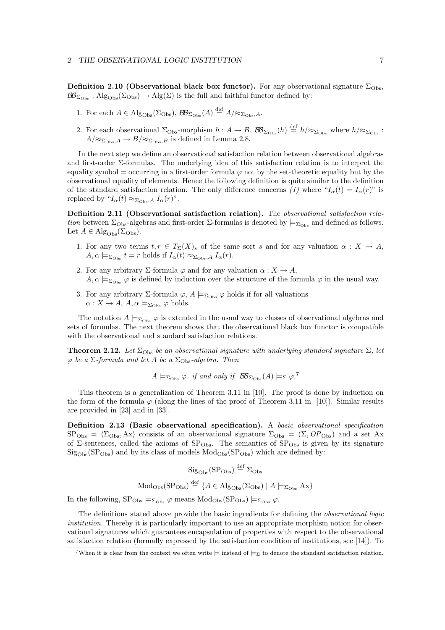**Definition 2.10 (Observational black box functor).** For any observational signature  $\Sigma_{\text{Obs}}$ ,  $\mathcal{B}\mathcal{B}_{\Sigma_{\text{Obs}}}$ : Alg<sub>Obs</sub>( $\Sigma_{\text{Obs}}$ )  $\rightarrow$  Alg( $\Sigma$ ) is the full and faithful functor defined by:

- 1. For each  $A \in \mathrm{Alg}_{\mathrm{Obs}}(\Sigma_{\mathrm{Obs}}), \mathcal{BB}_{\Sigma_{\mathrm{Obs}}}(A) \stackrel{\text{def}}{=} A/\approx_{\Sigma_{\mathrm{Obs}}, A}.$
- 2. For each observational  $\Sigma_{\text{Obs}}$ -morphism  $h: A \to B$ ,  $\mathcal{BB}_{\Sigma_{\text{Obs}}}(h) \stackrel{\text{def}}{=} h/\approx_{\Sigma_{\text{Obs}}}$  where  $h/\approx_{\Sigma_{\text{Obs}}}$ :  $A/\approx_{\Sigma_{\text{Obs}},A} \rightarrow B/\approx_{\Sigma_{\text{Obs}},B}$  is defined in Lemma 2.8.

In the next step we define an observational satisfaction relation between observational algebras and first-order Σ-formulas. The underlying idea of this satisfaction relation is to interpret the equality symbol = occurring in a first-order formula  $\varphi$  not by the set-theoretic equality but by the observational equality of elements. Hence the following definition is quite similar to the definition of the standard satisfaction relation. The only difference concerns (1) where " $I_{\alpha}(t) = I_{\alpha}(r)$ " is replaced by " $I_{\alpha}(t) \approx_{\Sigma_{\text{Obs}}, A} I_{\alpha}(r)$ ".

**Definition 2.11 (Observational satisfaction relation).** The observational satisfaction relation between  $\Sigma_{\text{Obs}}$ -algebras and first-order  $\Sigma$ -formulas is denoted by  $\models_{\Sigma_{\text{Obs}}}$  and defined as follows. Let  $A \in \mathrm{Alg}_{\mathrm{Obs}}(\Sigma_{\mathrm{Obs}})$ .

- 1. For any two terms  $t, r \in T_{\Sigma}(X)_{s}$  of the same sort s and for any valuation  $\alpha : X \to A$ ,  $A, \alpha \models_{\Sigma_{\text{Obs}}} t = r \text{ holds if } I_{\alpha}(t) \approx_{\Sigma_{\text{Obs}}, A} I_{\alpha}(r).$
- 2. For any arbitrary  $\Sigma$ -formula  $\varphi$  and for any valuation  $\alpha: X \to A$ ,  $A, \alpha \models_{\Sigma_{\text{Obs}}} \varphi$  is defined by induction over the structure of the formula  $\varphi$  in the usual way.
- 3. For any arbitrary  $\Sigma$ -formula  $\varphi$ ,  $A \models_{\Sigma_{\text{Obs}}} \varphi$  holds if for all valuations  $\alpha: X \to A$ ,  $A, \alpha \models_{\Sigma_{\text{Obs}}} \varphi$  holds.

The notation  $A \models_{\Sigma_{\text{Obs}}} \varphi$  is extended in the usual way to classes of observational algebras and sets of formulas. The next theorem shows that the observational black box functor is compatible with the observational and standard satisfaction relations.

**Theorem 2.12.** Let  $\Sigma_{\text{Obs}}$  be an observational signature with underlying standard signature  $\Sigma$ , let  $\varphi$  be a  $\Sigma$ -formula and let A be a  $\Sigma_{\text{Obs}}$ -algebra. Then

 $A \models_{\Sigma_{\text{Obs}}} \varphi$  if and only if  $\mathcal{BB}_{\Sigma_{\text{Obs}}}(A) \models_{\Sigma} \varphi$ .

This theorem is a generalization of Theorem 3.11 in [10]. The proof is done by induction on the form of the formula  $\varphi$  (along the lines of the proof of Theorem 3.11 in [10]). Similar results are provided in [23] and in [33].

**Definition 2.13 (Basic observational specification).** A basic observational specification  $S\text{P}_{\text{Obs}} = \langle \Sigma_{\text{Obs}}, \text{Ax} \rangle$  consists of an observational signature  $\Sigma_{\text{Obs}} = (\Sigma, OP_{\text{Obs}})$  and a set Ax of  $\Sigma$ -sentences, called the axioms of  $SP<sub>Obs</sub>$ . The semantics of  $SP<sub>Obs</sub>$  is given by its signature  $\text{Sig}_{\text{Obs}}(\text{SP}_{\text{Obs}})$  and by its class of models  $\text{Mod}_{\text{Obs}}(\text{SP}_{\text{Obs}})$  which are defined by:

$$
\begin{aligned} \mathrm{Sig}_{\mathrm{Obs}}(\mathrm{SP}_{\mathrm{Obs}}) &\stackrel{\mathrm{def}}{=} \Sigma_{\mathrm{Obs}} \\ \mathrm{Mod}_{\mathrm{Obs}}(\mathrm{SP}_{\mathrm{Obs}}) &\stackrel{\mathrm{def}}{=} \{A \in \mathrm{Alg}_{\mathrm{Obs}}(\Sigma_{\mathrm{Obs}}) \mid A \models_{\Sigma_{\mathrm{Obs}}} \mathrm{Ax}\} \end{aligned}
$$

In the following,  $SP_{\text{Obs}} \models_{\Sigma_{\text{Obs}}} \varphi$  means  $\text{Mod}_{\text{Obs}}(SP_{\text{Obs}}) \models_{\Sigma_{\text{Obs}}} \varphi$ .

The definitions stated above provide the basic ingredients for defining the observational logic institution. Thereby it is particularly important to use an appropriate morphism notion for observational signatures which guarantees encapsulation of properties with respect to the observational satisfaction relation (formally expressed by the satisfaction condition of institutions, see [14]). To

<sup>&</sup>lt;sup>7</sup>When it is clear from the context we often write  $\models$  instead of  $\models$ <sub>Σ</sub> to denote the standard satisfaction relation.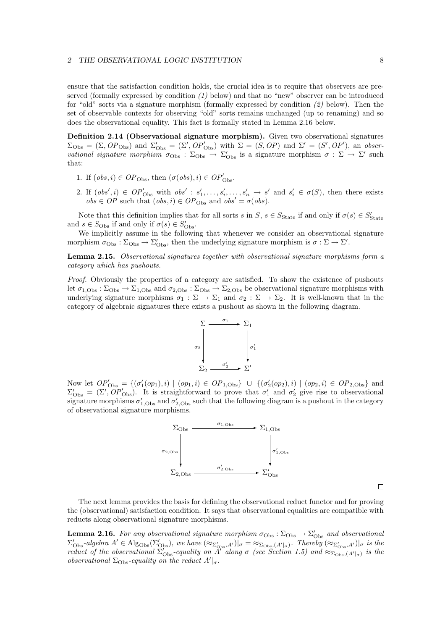#### *2 THE OBSERVATIONAL LOGIC INSTITUTION* 8

ensure that the satisfaction condition holds, the crucial idea is to require that observers are preserved (formally expressed by condition  $(1)$  below) and that no "new" observer can be introduced for "old" sorts via a signature morphism (formally expressed by condition (2) below). Then the set of observable contexts for observing "old" sorts remains unchanged (up to renaming) and so does the observational equality. This fact is formally stated in Lemma 2.16 below.

**Definition 2.14 (Observational signature morphism).** Given two observational signatures  $\Sigma_{\text{Obs}} = (\Sigma, OP_{\text{Obs}})$  and  $\Sigma'_{\text{Obs}} = (\Sigma', OP'_{\text{Obs}})$  with  $\Sigma = (S, OP)$  and  $\Sigma' = (S', OP')$ , an observational signature morphism  $\sigma_{\text{Obs}} : \Sigma_{\text{Obs}} \to \Sigma'_{\text{Obs}}$  is a signature morphism  $\sigma : \Sigma \to \Sigma'$  such that:

- 1. If  $(obs, i) \in OP_{Obs}$ , then  $(\sigma (obs), i) \in OP'_{Obs}$ .
- 2. If  $(obs', i) \in OP'_{Obs}$  with  $obs' : s'_1, \ldots, s'_i, \ldots, s'_n \to s'$  and  $s'_i \in \sigma(S)$ , then there exists  $obs \in OP$  such that  $(obs, i) \in OP_{Obs}$  and  $obs' = \sigma (obs)$ .

Note that this definition implies that for all sorts s in S,  $s \in S_{\text{State}}$  if and only if  $\sigma(s) \in S'_{\text{State}}$ and  $s \in S_{\text{Obs}}$  if and only if  $\sigma(s) \in S'_{\text{Obs}}$ .

We implicitly assume in the following that whenever we consider an observational signature morphism  $\sigma_{\rm Obs} : \Sigma_{\rm Obs} \to \Sigma'_{\rm Obs}$ , then the underlying signature morphism is  $\sigma : \Sigma \to \Sigma'$ .

**Lemma 2.15.** Observational signatures together with observational signature morphisms form a category which has pushouts.

Proof. Obviously the properties of a category are satisfied. To show the existence of pushouts let  $\sigma_{1,\text{Obs}} : \Sigma_{\text{Obs}} \to \Sigma_{1,\text{Obs}}$  and  $\sigma_{2,\text{Obs}} : \Sigma_{\text{Obs}} \to \Sigma_{2,\text{Obs}}$  be observational signature morphisms with underlying signature morphisms  $\sigma_1 : \Sigma \to \Sigma_1$  and  $\sigma_2 : \Sigma \to \Sigma_2$ . It is well-known that in the category of algebraic signatures there exists a pushout as shown in the following diagram.



Now let  $OP'_{\text{Obs}} = \{ (\sigma'_1(op_1), i) \mid (op_1, i) \in OP_{1, \text{Obs}} \} \cup \{ (\sigma'_2(op_2), i) \mid (op_2, i) \in OP_{2, \text{Obs}} \}$  and  $\Sigma'_{\text{Obs}} = (\Sigma', OP'_{\text{Obs}})$ . It is straightforward to prove that  $\sigma'_1$  and  $\sigma'_2$  give rise to observational signature morphisms  $\sigma'_{1,\text{Obs}}$  and  $\sigma'_{2,\text{Obs}}$  such that the following diagram is a pushout in the category of observational signature morphisms.



The next lemma provides the basis for defining the observational reduct functor and for proving the (observational) satisfaction condition. It says that observational equalities are compatible with reducts along observational signature morphisms.

**Lemma 2.16.** For any observational signature morphism  $\sigma_{\text{Obs}} : \Sigma_{\text{Obs}} \to \Sigma'_{\text{Obs}}$  and observational  $\Sigma'_{\text{Obs}}$ -algebra  $A' \in \text{Alg}_{\text{Obs}}(\Sigma'_{\text{Obs}})$ , we have  $(\approx_{\Sigma'_{\text{Obs}},A'})|_{\sigma} = \approx_{\Sigma_{\text{Obs}},(A'|_{\sigma})}$ . Thereby  $(\approx_{\Sigma'_{\text{Obs}},A'})|_{\sigma}$  is the reduct of the observational  $\Sigma_{\text{Obs}}'$ -equality on A<sup>r</sup> along  $\sigma$  (see Section 1.5) and  $\approx_{\Sigma_{\text{Obs}},(A'|_{\sigma})}$  is the observational  $\Sigma_{\text{Obs}}$ -equality on the reduct  $A'|_{\sigma}$ .

 $\Box$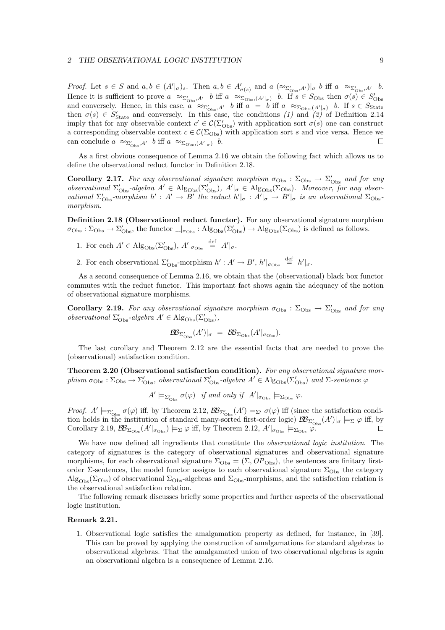#### *2 THE OBSERVATIONAL LOGIC INSTITUTION* 9

Proof. Let  $s \in S$  and  $a, b \in (A'|_{\sigma})_s$ . Then  $a, b \in A'_{\sigma(s)}$  and  $a \; (\approx_{\Sigma'_{\text{Obs}}, A'})|_{\sigma} b$  iff  $a \; \approx_{\Sigma'_{\text{Obs}}, A'} b$ . Hence it is sufficient to prove  $a \approx_{\Sigma_{\text{Obs}}',A'} b$  iff  $a \approx_{\Sigma_{\text{Obs}}',(A'|\sigma)} b$ . If  $s \in S_{\text{Obs}}$  then  $\sigma(s) \in S'_{\text{Obs}}$ and conversely. Hence, in this case,  $a \approx_{\Sigma_{\text{Obs}}',A'} b$  iff  $a = b$  iff  $a \approx_{\Sigma_{\text{Obs}}(A'|_{\sigma})} b$ . If  $s \in S_{\text{State}}$ then  $\sigma(s) \in S'_{\text{State}}$  and conversely. In this case, the conditions (1) and (2) of Definition 2.14 imply that for any observable context  $c' \in \mathcal{C}(\Sigma_{\text{Obs}}')$  with application sort  $\sigma(s)$  one can construct a corresponding observable context  $c \in \mathcal{C}(\Sigma_{\text{Obs}})$  with application sort s and vice versa. Hence we can conclude  $a \approx_{\Sigma'_{\text{Obs}}, A'} b$  iff  $a \approx_{\Sigma_{\text{Obs}}, (A'|_{\sigma})} b$ .  $\Box$ 

As a first obvious consequence of Lemma 2.16 we obtain the following fact which allows us to define the observational reduct functor in Definition 2.18.

**Corollary 2.17.** For any observational signature morphism  $\sigma_{\rm Obs}$ :  $\Sigma_{\rm Obs} \rightarrow \Sigma'_{\rm Obs}$  and for any observational  $\Sigma_{\text{Obs}}'$ -algebra  $A' \in \text{Alg}_{\text{Obs}}(\Sigma'_{\text{Obs}}), A' \mid_{\sigma} \in \text{Alg}_{\text{Obs}}(\Sigma_{\text{Obs}}).$  Moreover, for any observational  $\Sigma'_{\rm Obs}$ -morphism  $h' : A' \to B'$  the reduct  $h'|_{\sigma} : A'|_{\sigma} \to B'|_{\sigma}$  is an observational  $\Sigma_{\rm Obs}$ morphism.

**Definition 2.18 (Observational reduct functor).** For any observational signature morphism  $\sigma_{\rm Obs}: \Sigma_{\rm Obs} \to \Sigma'_{\rm Obs}$ , the functor  $\Box|_{\sigma_{\rm Obs}}: \mathrm{Alg}_{\rm Obs}(\Sigma'_{\rm Obs}) \to \mathrm{Alg}_{\rm Obs}(\Sigma_{\rm Obs})$  is defined as follows.

- 1. For each  $A' \in \mathrm{Alg}_{\mathrm{Obs}}(\Sigma'_{\mathrm{Obs}}), A'|_{\sigma_{\mathrm{Obs}}} \stackrel{\text{def}}{=} A'|_{\sigma}.$
- 2. For each observational  $\Sigma_{\text{Obs}}'$ -morphism  $h' : A' \to B'$ ,  $h'|_{\sigma_{\text{Obs}}} \stackrel{\text{def}}{=} h'|_{\sigma}$ .

As a second consequence of Lemma 2.16, we obtain that the (observational) black box functor commutes with the reduct functor. This important fact shows again the adequacy of the notion of observational signature morphisms.

**Corollary 2.19.** For any observational signature morphism  $\sigma_{\rm Obs}$ :  $\Sigma_{\rm Obs} \rightarrow \Sigma'_{\rm Obs}$  and for any observational  $\Sigma_{\text{Obs}}'$ -algebra  $A' \in \text{Alg}_{\text{Obs}}(\Sigma_{\text{Obs}}'),$ 

$$
\mathcal{BB}_{\Sigma'_{\mathrm{Obs}}}(A')|_{\sigma} = \mathcal{BB}_{\Sigma_{\mathrm{Obs}}}(A'|_{\sigma_{\mathrm{Obs}}}).
$$

The last corollary and Theorem 2.12 are the essential facts that are needed to prove the (observational) satisfaction condition.

**Theorem 2.20 (Observational satisfaction condition).** For any observational signature morphism  $\sigma_{\text{Obs}} : \Sigma_{\text{Obs}} \to \Sigma'_{\text{Obs}}$ , observational  $\Sigma'_{\text{Obs}}$ -algebra  $A' \in \text{Alg}_{\text{Obs}}(\Sigma'_{\text{Obs}})$  and  $\Sigma$ -sentence  $\varphi$ 

 $A' \models_{\Sigma_{\text{Obs}}'} \sigma(\varphi)$  if and only if  $A'|_{\sigma_{\text{Obs}}} \models_{\Sigma_{\text{Obs}}} \varphi$ .

Proof.  $A' \models_{\Sigma'_{\text{Obs}}} \sigma(\varphi)$  iff, by Theorem 2.12,  $\mathcal{BB}_{\Sigma'_{\text{Obs}}}(A') \models_{\Sigma'} \sigma(\varphi)$  iff (since the satisfaction condition holds in the institution of standard many-sorted first-order logic)  $\mathcal{BB}_{\Sigma'_{\text{Obs}}}(A')|_{\sigma} \models_{\Sigma} \varphi$  iff, by Corollary 2.19,  $\mathcal{B}\mathcal{B}_{\Sigma_{\text{Obs}}}(A'|_{\sigma_{\text{Obs}}})\models_{\Sigma}\varphi$  iff, by Theorem 2.12,  $A'|_{\sigma_{\text{Obs}}}\models_{\Sigma_{\text{Obs}}}\varphi$ .  $\Box$ 

We have now defined all ingredients that constitute the *observational logic institution*. The category of signatures is the category of observational signatures and observational signature morphisms, for each observational signature  $\Sigma_{\text{Obs}} = (\Sigma, OP_{\text{Obs}})$ , the sentences are finitary firstorder Σ-sentences, the model functor assigns to each observational signature  $\Sigma_{\rm Obs}$  the category  $\text{Alg}_{\text{Obs}}(\Sigma_{\text{Obs}})$  of observational  $\Sigma_{\text{Obs}}$ -algebras and  $\Sigma_{\text{Obs}}$ -morphisms, and the satisfaction relation is the observational satisfaction relation.

The following remark discusses briefly some properties and further aspects of the observational logic institution.

#### **Remark 2.21.**

1. Observational logic satisfies the amalgamation property as defined, for instance, in [39]. This can be proved by applying the construction of amalgamations for standard algebras to observational algebras. That the amalgamated union of two observational algebras is again an observational algebra is a consequence of Lemma 2.16.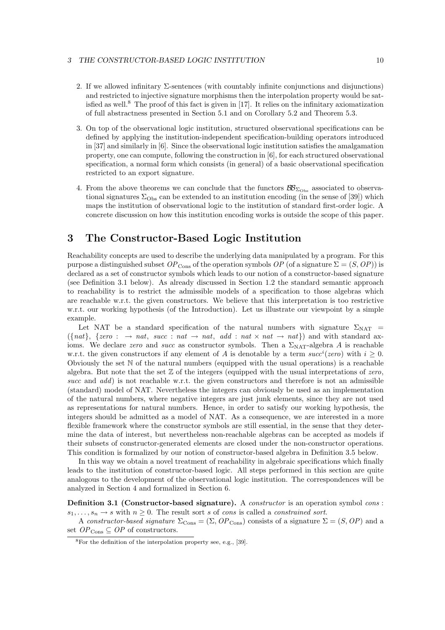#### *3 THE CONSTRUCTOR-BASED LOGIC INSTITUTION* 10

- 2. If we allowed infinitary  $\Sigma$ -sentences (with countably infinite conjunctions and disjunctions) and restricted to injective signature morphisms then the interpolation property would be satisfied as well.<sup>8</sup> The proof of this fact is given in [17]. It relies on the infinitary axiomatization of full abstractness presented in Section 5.1 and on Corollary 5.2 and Theorem 5.3.
- 3. On top of the observational logic institution, structured observational specifications can be defined by applying the institution-independent specification-building operators introduced in [37] and similarly in [6]. Since the observational logic institution satisfies the amalgamation property, one can compute, following the construction in [6], for each structured observational specification, a normal form which consists (in general) of a basic observational specification restricted to an export signature.
- 4. From the above theorems we can conclude that the functors  $\mathcal{B}\mathcal{B}_{\Sigma_{\text{Obs}}}$  associated to observational signatures  $\Sigma_{\text{Obs}}$  can be extended to an institution encoding (in the sense of [39]) which maps the institution of observational logic to the institution of standard first-order logic. A concrete discussion on how this institution encoding works is outside the scope of this paper.

# **3 The Constructor-Based Logic Institution**

Reachability concepts are used to describe the underlying data manipulated by a program. For this purpose a distinguished subset  $OP_{\text{Cons}}$  of the operation symbols  $OP$  (of a signature  $\Sigma = (S, OP)$ ) is declared as a set of constructor symbols which leads to our notion of a constructor-based signature (see Definition 3.1 below). As already discussed in Section 1.2 the standard semantic approach to reachability is to restrict the admissible models of a specification to those algebras which are reachable w.r.t. the given constructors. We believe that this interpretation is too restrictive w.r.t. our working hypothesis (of the Introduction). Let us illustrate our viewpoint by a simple example.

Let NAT be a standard specification of the natural numbers with signature  $\Sigma_{\text{NAT}}$  =  $({\text{and}}, {\text{zero}}: \rightarrow \text{nat}, \text{succ} : \text{nat} \rightarrow \text{nat}, \text{add} : \text{nat} \times \text{nat} \rightarrow \text{nat})$  and with standard axioms. We declare zero and succ as constructor symbols. Then a  $\Sigma_{\text{NAT}}$ -algebra A is reachable w.r.t. the given constructors if any element of A is denotable by a term  $succ<sup>i</sup>(zero)$  with  $i \ge 0$ . Obviously the set  $\mathbb N$  of the natural numbers (equipped with the usual operations) is a reachable algebra. But note that the set  $Z$  of the integers (equipped with the usual interpretations of zero, succ and add) is not reachable w.r.t. the given constructors and therefore is not an admissible (standard) model of NAT. Nevertheless the integers can obviously be used as an implementation of the natural numbers, where negative integers are just junk elements, since they are not used as representations for natural numbers. Hence, in order to satisfy our working hypothesis, the integers should be admitted as a model of NAT. As a consequence, we are interested in a more flexible framework where the constructor symbols are still essential, in the sense that they determine the data of interest, but nevertheless non-reachable algebras can be accepted as models if their subsets of constructor-generated elements are closed under the non-constructor operations. This condition is formalized by our notion of constructor-based algebra in Definition 3.5 below.

In this way we obtain a novel treatment of reachability in algebraic specifications which finally leads to the institution of constructor-based logic. All steps performed in this section are quite analogous to the development of the observational logic institution. The correspondences will be analyzed in Section 4 and formalized in Section 6.

**Definition 3.1 (Constructor-based signature).** A *constructor* is an operation symbol cons:  $s_1,\ldots,s_n\to s$  with  $n\geq 0$ . The result sort s of cons is called a constrained sort.

A constructor-based signature  $\Sigma_{\text{Cons}} = (\Sigma, OP_{\text{Cons}})$  consists of a signature  $\Sigma = (S, OP)$  and a set  $OP_{\text{Cons}} \subseteq OP$  of constructors.

<sup>8</sup>For the definition of the interpolation property see, e.g., [39].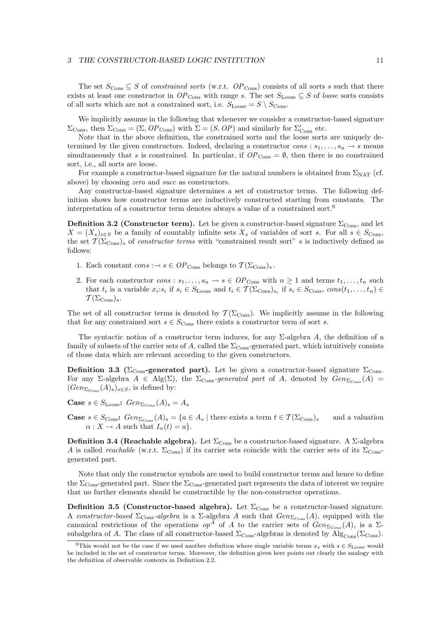The set  $S_{\text{Cons}} \subseteq S$  of *constrained sorts* (w.r.t.  $OP_{\text{Cons}}$ ) consists of all sorts s such that there exists at least one constructor in  $OP_{\text{Cons}}$  with range s. The set  $S_{\text{Loose}} \subseteq S$  of loose sorts consists of all sorts which are not a constrained sort, i.e.  $S_{\text{Loose}} = S \setminus S_{\text{Cons}}$ .

We implicitly assume in the following that whenever we consider a constructor-based signature  $\Sigma_{\text{Cons}}$ , then  $\Sigma_{\text{Cons}} = (\Sigma, OP_{\text{Cons}})$  with  $\Sigma = (S, OP)$  and similarly for  $\Sigma'_{\text{Cons}}$  etc.

Note that in the above definition, the constrained sorts and the loose sorts are uniquely determined by the given constructors. Indeed, declaring a constructor  $cons : s_1, \ldots, s_n \to s$  means simultaneously that s is constrained. In particular, if  $OP_{\text{Cons}} = \emptyset$ , then there is no constrained sort, i.e., all sorts are loose.

For example a constructor-based signature for the natural numbers is obtained from  $\Sigma_{\text{NAT}}$  (cf. above) by choosing zero and succ as constructors.

Any constructor-based signature determines a set of constructor terms. The following definition shows how constructor terms are inductively constructed starting from constants. The interpretation of a constructor term denotes always a value of a constrained sort.<sup>9</sup>

**Definition 3.2 (Constructor term).** Let be given a constructor-based signature  $\Sigma_{\text{Cons}}$ , and let  $X = (X_s)_{s \in S}$  be a family of countably infinite sets  $X_s$  of variables of sort s. For all  $s \in S_{\text{Cons}}$ , the set  $\mathcal{T}(\Sigma_{\text{Cons}})$  of constructor terms with "constrained result sort" s is inductively defined as follows:

- 1. Each constant  $cons \rightarrow s \in OP_{Cons}$  belongs to  $\mathcal{T}(\Sigma_{Cons})_s$ .
- 2. For each constructor  $cons : s_1, \ldots, s_n \to s \in OP_{\text{Cons}}$  with  $n \geq 1$  and terms  $t_1, \ldots, t_n$  such that  $t_i$  is a variable  $x_i:s_i$  if  $s_i \in S_{\text{Loose}}$  and  $t_i \in \mathcal{T}(\Sigma_{\text{Cons}})_{s_i}$  if  $s_i \in S_{\text{Cons}}$ ,  $cons(t_1,\ldots,t_n) \in$  $\mathcal{T}(\Sigma_{\mathrm{Cons}})_s$ .

The set of all constructor terms is denoted by  $\mathcal{T}(\Sigma_{\text{Cons}})$ . We implicitly assume in the following that for any constrained sort  $s \in S_{\text{Cons}}$  there exists a constructor term of sort s.

The syntactic notion of a constructor term induces, for any  $\Sigma$ -algebra A, the definition of a family of subsets of the carrier sets of A, called the  $\Sigma_{\text{Cons}}$ -generated part, which intuitively consists of those data which are relevant according to the given constructors.

**Definition 3.3** ( $\Sigma_{\text{Cons}}$ -generated part). Let be given a constructor-based signature  $\Sigma_{\text{Cons}}$ . For any Σ-algebra  $A \in Alg(\Sigma)$ , the  $\Sigma_{\text{Cons}}\text{-}generated$  part of A, denoted by  $Gen_{\Sigma_{\text{Cons}}}(A)$  =  $(Gen_{\Sigma_{\text{Cons}}}(A)_{s})_{s\in S}$ , is defined by:

**Case**  $s \in S_{\text{Loose}}$ :  $Gen_{\Sigma_{\text{Cone}}}(A)_s = A_s$ 

**Case**  $s \in S_{\text{Cons}}$ :  $Gen_{\Sigma_{\text{Cons}}}(A)_s = \{a \in A_s \mid \text{there exists a term } t \in \mathcal{T}(\Sigma_{\text{Cons}})_s \text{ and a valuation }$  $\alpha: X \to A$  such that  $I_{\alpha}(t) = a$ .

**Definition 3.4 (Reachable algebra).** Let  $\Sigma_{\text{Cons}}$  be a constructor-based signature. A  $\Sigma$ -algebra A is called reachable (w.r.t.  $\Sigma_{\text{Cons}}$ ) if its carrier sets coincide with the carrier sets of its  $\Sigma_{\text{Cons}}$ generated part.

Note that only the constructor symbols are used to build constructor terms and hence to define the  $\Sigma_{\text{Cons}}$ -generated part. Since the  $\Sigma_{\text{Cons}}$ -generated part represents the data of interest we require that no further elements should be constructible by the non-constructor operations.

**Definition 3.5 (Constructor-based algebra).** Let  $\Sigma_{\text{Cons}}$  be a constructor-based signature. A constructor-based  $\Sigma_{\text{Cons}}$ -algebra is a  $\Sigma$ -algebra A such that  $Gen_{\Sigma_{\text{Cons}}}(A)$ , equipped with the canonical restrictions of the operations  $op^A$  of A to the carrier sets of  $Gen_{\Sigma_{\text{Cons}}}(A)$ , is a  $\Sigma$ subalgebra of A. The class of all constructor-based  $\Sigma_{\text{Cons}}$ -algebras is denoted by Alg<sub>Cons</sub>( $\Sigma_{\text{Cons}}$ ).

<sup>&</sup>lt;sup>9</sup>This would not be the case if we used another definition where single variable terms  $x_s$  with  $s \in S_{\text{Loose}}$  would be included in the set of constructor terms. Moreover, the definition given here points out clearly the analogy with the definition of observable contexts in Definition 2.2.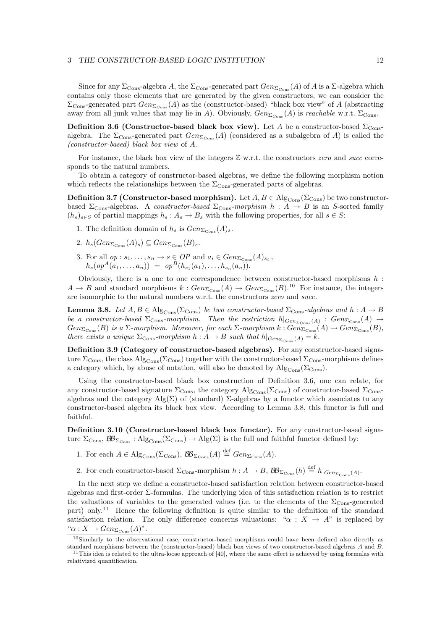#### *3 THE CONSTRUCTOR-BASED LOGIC INSTITUTION* 12

Since for any  $\Sigma_{\text{Cons}}$ -algebra A, the  $\Sigma_{\text{Cons}}$ -generated part  $Gen_{\Sigma_{\text{Cons}}}(A)$  of A is a  $\Sigma$ -algebra which contains only those elements that are generated by the given constructors, we can consider the  $\Sigma_{\text{Cons}}$ -generated part  $Gen_{\Sigma_{\text{Cons}}}(A)$  as the (constructor-based) "black box view" of A (abstracting away from all junk values that may lie in A). Obviously,  $Gen_{\Sigma_{\text{Cons}}}(A)$  is reachable w.r.t.  $\Sigma_{\text{Cons}}$ .

**Definition 3.6 (Constructor-based black box view).** Let A be a constructor-based  $\Sigma_{\text{Cons}}$ algebra. The  $\Sigma_{\text{Cons}}$ -generated part  $Gen_{\Sigma_{\text{Cons}}}(A)$  (considered as a subalgebra of A) is called the (constructor-based) black box view of A.

For instance, the black box view of the integers  $\mathbb Z$  w.r.t. the constructors zero and succ corresponds to the natural numbers.

To obtain a category of constructor-based algebras, we define the following morphism notion which reflects the relationships between the  $\Sigma_{\text{Cons}}$ -generated parts of algebras.

**Definition 3.7 (Constructor-based morphism).** Let  $A, B \in \text{Alg}_{\text{Cons}}(\Sigma_{\text{Cons}})$  be two constructorbased  $\Sigma_{\text{Cons}}$ -algebras. A constructor-based  $\Sigma_{\text{Cons}}$ -morphism  $h : A \rightarrow B$  is an S-sorted family  $(h_s)_{s\in S}$  of partial mappings  $h_s: A_s \to B_s$  with the following properties, for all  $s \in S$ :

- 1. The definition domain of  $h_s$  is  $Gen_{\Sigma_{Cone}}(A)_s$ .
- 2.  $h_s(Gen_{\Sigma_{Cone}}(A)_s) \subseteq Gen_{\Sigma_{Cone}}(B)_s.$
- 3. For all  $op : s_1, \ldots, s_n \to s \in OP$  and  $a_i \in Gen_{\Sigma_{\text{Cons}}}(A)_{s_i}$ ,  $h_s(op^A(a_1,...,a_n)) = op^B(h_{s_1}(a_1),...,h_{s_n}(a_n)).$

Obviously, there is a one to one correspondence between constructor-based morphisms  $h$ :  $A \to B$  and standard morphisms  $k : Gen_{\Sigma_{\text{Cons}}}(A) \to Gen_{\Sigma_{\text{Cons}}}(B).^{10}$  For instance, the integers are isomorphic to the natural numbers w.r.t. the constructors zero and succ.

**Lemma 3.8.** Let  $A, B \in \text{Alg}_{\text{Cons}}(\Sigma_{\text{Cons}})$  be two constructor-based  $\Sigma_{\text{Cons}}$ -algebras and  $h: A \to B$ be a constructor-based  $\Sigma_{\text{Cons}}$ -morphism. Then the restriction  $h|_{Gen_{\Sigma_{\text{Cons}}}(A)}$ :  $Gen_{\Sigma_{\text{Cons}}}(A) \rightarrow$  $Gen_{\Sigma_{\text{Cons}}}(B)$  is a  $\Sigma$ -morphism. Moreover, for each  $\Sigma$ -morphism  $k: Gen_{\Sigma_{\text{Cons}}}(A) \to Gen_{\Sigma_{\text{Cons}}}(B)$ , there exists a unique  $\Sigma_{\text{Cons}}$ -morphism  $h: A \to B$  such that  $h|_{Gen_{\Sigma_{\text{Cons}}}(A)} = k$ .

**Definition 3.9 (Category of constructor-based algebras).** For any constructor-based signature  $\Sigma_{\rm Cons}$ , the class  $\rm{Alg}_{\rm Cons}(\Sigma_{\rm Cons})$  together with the constructor-based  $\Sigma_{\rm Cons}$ -morphisms defines a category which, by abuse of notation, will also be denoted by  $\mathrm{Alg}_{\text{Cons}}(\Sigma_{\text{Cons}})$ .

Using the constructor-based black box construction of Definition 3.6, one can relate, for any constructor-based signature  $\Sigma_{\rm Cons}$ , the category  $\rm{Alg}_{Cons}(\Sigma_{Cons})$  of constructor-based  $\Sigma_{\rm Cons}$ algebras and the category Alg( $\Sigma$ ) of (standard)  $\Sigma$ -algebras by a functor which associates to any constructor-based algebra its black box view. According to Lemma 3.8, this functor is full and faithful.

**Definition 3.10 (Constructor-based black box functor).** For any constructor-based signature  $\Sigma_{\text{Cons}}$ ,  $\mathcal{BB}_{\Sigma_{\text{Cons}}}$ : Alg<sub>Cons</sub>( $\Sigma_{\text{Cons}}$ )  $\rightarrow$  Alg( $\Sigma$ ) is the full and faithful functor defined by:

- 1. For each  $A \in \mathrm{Alg}_{\mathrm{Cons}}(\Sigma_{\mathrm{Cons}}), \mathcal{BB}_{\Sigma_{\mathrm{Cons}}}(A) \stackrel{\text{def}}{=} Gen_{\Sigma_{\mathrm{Cons}}}(A).$
- 2. For each constructor-based  $\Sigma_{\text{Cons}}$ -morphism  $h: A \to B$ ,  $\mathcal{BB}_{\Sigma_{\text{Cons}}}(h) \stackrel{\text{def}}{=} h|_{Gen_{\Sigma_{\text{Cons}}}(A)}$ .

In the next step we define a constructor-based satisfaction relation between constructor-based algebras and first-order Σ-formulas. The underlying idea of this satisfaction relation is to restrict the valuations of variables to the generated values (i.e. to the elements of the  $\Sigma_{\rm Cons}$ -generated part) only.<sup>11</sup> Hence the following definition is quite similar to the definition of the standard satisfaction relation. The only difference concerns valuations: " $\alpha : X \to A$ " is replaced by " $\alpha: X \to Gen_{\Sigma_{\text{Cons}}}(A)$ ".

<sup>10</sup>Similarly to the observational case, constructor-based morphisms could have been defined also directly as standard morphisms between the (constructor-based) black box views of two constructor-based algebras A and B.

 $11$ This idea is related to the ultra-loose approach of [40], where the same effect is achieved by using formulas with relativized quantification.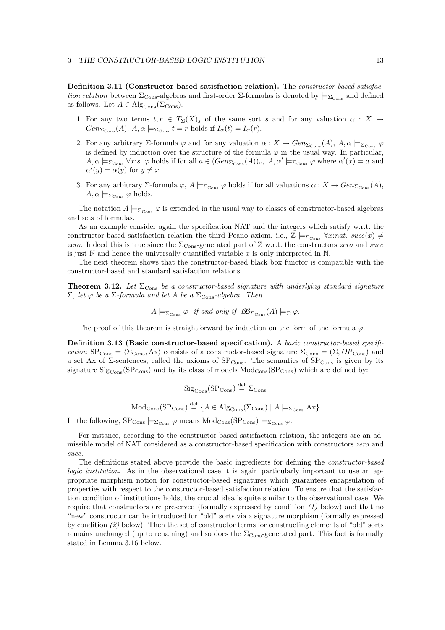**Definition 3.11 (Constructor-based satisfaction relation).** The constructor-based satisfaction relation between  $\Sigma_{\text{Cons}}$ -algebras and first-order  $\Sigma$ -formulas is denoted by  $\models_{\Sigma_{\text{Cons}}}$  and defined as follows. Let  $A \in \text{Alg}_{\text{Cons}}(\Sigma_{\text{Cons}})$ .

- 1. For any two terms  $t, r \in T_{\Sigma}(X)_{s}$  of the same sort s and for any valuation  $\alpha : X \rightarrow$  $Gen_{\Sigma_{\text{Cons}}}(A), A, \alpha \models_{\Sigma_{\text{Cons}}} t = r \text{ holds if } I_{\alpha}(t) = I_{\alpha}(r).$
- 2. For any arbitrary Σ-formula  $\varphi$  and for any valuation  $\alpha: X \to Gen_{\Sigma_{\text{Cons}}}(A), A, \alpha \models_{\Sigma_{\text{Cons}}} \varphi$ is defined by induction over the structure of the formula  $\varphi$  in the usual way. In particular,  $A, \alpha \models_{\Sigma_{\text{Cons}}} \forall x : s. \varphi \text{ holds if for all } a \in (Gen_{\Sigma_{\text{Cons}}}(A))_s, A, \alpha' \models_{\Sigma_{\text{Cons}}} \varphi \text{ where } \alpha'(x) = a \text{ and }$  $\alpha'(y) = \alpha(y)$  for  $y \neq x$ .
- 3. For any arbitrary  $\Sigma$ -formula  $\varphi$ ,  $A \models_{\Sigma_{\text{Cons}}} \varphi$  holds if for all valuations  $\alpha : X \to Gen_{\Sigma_{\text{Cons}}}(A)$ ,  $A, \alpha \models_{\Sigma_{\text{Cons}}} \varphi \text{ holds.}$

The notation  $A \models_{\Sigma_{Cone}} \varphi$  is extended in the usual way to classes of constructor-based algebras and sets of formulas.

As an example consider again the specification NAT and the integers which satisfy w.r.t. the constructor-based satisfaction relation the third Peano axiom, i.e.,  $\mathbb{Z} \models_{\Sigma_{\text{Cons}}} \forall x : nat.$  succ $(x) \neq$ zero. Indeed this is true since the  $\Sigma_{\text{Cons}}$ -generated part of Z w.r.t. the constructors zero and succ is just  $\mathbb N$  and hence the universally quantified variable x is only interpreted in  $\mathbb N$ .

The next theorem shows that the constructor-based black box functor is compatible with the constructor-based and standard satisfaction relations.

**Theorem 3.12.** Let  $\Sigma_{\text{Cons}}$  be a constructor-based signature with underlying standard signature  $\Sigma$ , let  $\varphi$  be a  $\Sigma$ -formula and let A be a  $\Sigma$ <sub>Cons</sub>-algebra. Then

 $A \models_{\Sigma_{\text{Cons}}} \varphi$  if and only if  $\mathcal{BB}_{\Sigma_{\text{Cons}}}(A) \models_{\Sigma} \varphi$ .

The proof of this theorem is straightforward by induction on the form of the formula  $\varphi$ .

**Definition 3.13 (Basic constructor-based specification).** A basic constructor-based specification  $SP_{\text{Cons}} = \langle \Sigma_{\text{Cons}} , Ax \rangle$  consists of a constructor-based signature  $\Sigma_{\text{Cons}} = (\Sigma, OP_{\text{Cons}})$  and a set Ax of  $\Sigma$ -sentences, called the axioms of  $SP_{Cons}$ . The semantics of  $SP_{Cons}$  is given by its signature  $\text{Sig}_{\text{Cons}}(\text{SP}_{\text{Cons}})$  and by its class of models  $\text{Mod}_{\text{Cons}}(\text{SP}_{\text{Cons}})$  which are defined by:

$$
Sig_{\text{Cons}}(SP_{\text{Cons}}) \stackrel{\text{def}}{=} \Sigma_{\text{Cons}}
$$

 $\text{Mod}_{\text{Cons}}(\text{SP}_{\text{Cons}}) \stackrel{\text{def}}{=} \{A \in \text{Alg}_{\text{Cons}}(\Sigma_{\text{Cons}}) \mid A \models_{\Sigma_{\text{Cons}}} Ax\}$ 

In the following,  $SP_{Cons} \models_{\Sigma_{Cons}} \varphi$  means  $Mod_{Cons}(SP_{Cons}) \models_{\Sigma_{Cons}} \varphi$ .

For instance, according to the constructor-based satisfaction relation, the integers are an admissible model of NAT considered as a constructor-based specification with constructors zero and succ.

The definitions stated above provide the basic ingredients for defining the constructor-based logic institution. As in the observational case it is again particularly important to use an appropriate morphism notion for constructor-based signatures which guarantees encapsulation of properties with respect to the constructor-based satisfaction relation. To ensure that the satisfaction condition of institutions holds, the crucial idea is quite similar to the observational case. We require that constructors are preserved (formally expressed by condition  $(1)$  below) and that no "new" constructor can be introduced for "old" sorts via a signature morphism (formally expressed by condition (2) below). Then the set of constructor terms for constructing elements of "old" sorts remains unchanged (up to renaming) and so does the  $\Sigma_{\text{Cons}}$ -generated part. This fact is formally stated in Lemma 3.16 below.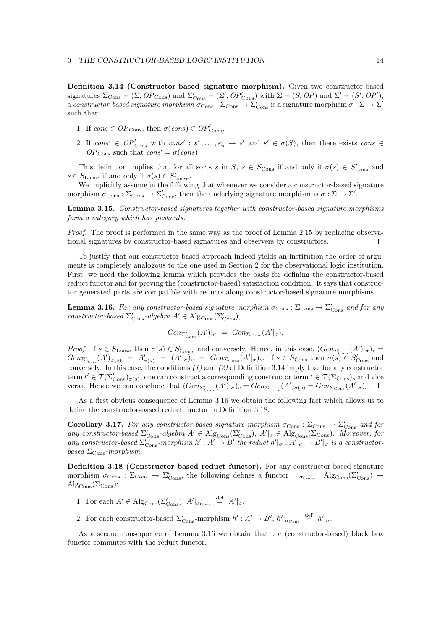**Definition 3.14 (Constructor-based signature morphism).** Given two constructor-based signatures  $\Sigma_{\text{Cons}} = (\Sigma, OP_{\text{Cons}})$  and  $\Sigma'_{\text{Cons}} = (\Sigma', OP'_{\text{Cons}})$  with  $\Sigma = (S, OP)$  and  $\Sigma' = (S', OP')$ , a constructor-based signature morphism  $\sigma_{\rm Cons} : \Sigma_{\rm Cons} \to \Sigma'_{\rm Cons}$  is a signature morphism  $\sigma : \Sigma \to \Sigma'$ such that:

- 1. If cons  $\in OP_{\text{Cons}}$ , then  $\sigma(\text{cons}) \in OP'_{\text{Cons}}$ .
- 2. If  $cons' \in OP'_{Cons}$  with  $cons' : s'_1, \ldots, s'_n \to s'$  and  $s' \in \sigma(S)$ , then there exists  $cons \in$  $OP_{\text{Cons}}$  such that  $cons' = \sigma (cons)$ .

This definition implies that for all sorts s in S,  $s \in S_{\text{Cons}}$  if and only if  $\sigma(s) \in S'_{\text{Cons}}$  and  $s \in S_{\text{Loose}}$  if and only if  $\sigma(s) \in S'_{\text{Loose}}$ .

We implicitly assume in the following that whenever we consider a constructor-based signature morphism  $\sigma_{\text{Cons}} : \Sigma_{\text{Cons}} \to \Sigma_{\text{Cons}}'$ , then the underlying signature morphism is  $\sigma : \Sigma \to \Sigma'$ .

**Lemma 3.15.** Constructor-based signatures together with constructor-based signature morphisms form a category which has pushouts.

Proof. The proof is performed in the same way as the proof of Lemma 2.15 by replacing observational signatures by constructor-based signatures and observers by constructors.  $\Box$ 

To justify that our constructor-based approach indeed yields an institution the order of arguments is completely analogous to the one used in Section 2 for the observational logic institution. First, we need the following lemma which provides the basis for defining the constructor-based reduct functor and for proving the (constructor-based) satisfaction condition. It says that constructor generated parts are compatible with reducts along constructor-based signature morphisms.

**Lemma 3.16.** For any constructor-based signature morphism  $\sigma_{\text{Cons}} : \Sigma_{\text{Cons}} \to \Sigma'_{\text{Cons}}$  and for any constructor-based  $\Sigma_{\text{Cons}}'$ -algebra  $A' \in \text{Alg}_{\text{Cons}}(\Sigma_{\text{Cons}}'),$ 

$$
Gen_{\Sigma'_{\text{Cons}}}(A')|_{\sigma} = Gen_{\Sigma_{\text{Cons}}}(A'|_{\sigma}).
$$

*Proof.* If  $s \in S_{\text{Loose}}$  then  $\sigma(s) \in S'_{\text{Loose}}$  and conversely. Hence, in this case,  $(Gen_{\Sigma'_{\text{Cons}}}(A')|_{\sigma})_s =$  $Gen_{\Sigma'_{\text{Cons}}}(A')_{\sigma(s)} = A'_{\sigma(s)} = (A'|_{\sigma})_s = Gen_{\Sigma_{\text{Cons}}}(A'|_{\sigma})_s.$  If  $s \in S_{\text{Cons}}$  then  $\sigma(s) \in S'_{\text{Cons}}$  and conversely. In this case, the conditions  $(1)$  and  $(2)$  of Definition 3.14 imply that for any constructor term  $t' \in \mathcal{T}(\Sigma'_{\text{Cons}})_{\sigma(s)}$ , one can construct a corresponding constructor term  $t \in \mathcal{T}(\Sigma_{\text{Cons}})$ , and vice versa. Hence we can conclude that  $(Gen_{\Sigma'_{\text{Cons}}}(A')|_{\sigma})_s = Gen_{\Sigma'_{\text{Cons}}}(A')_{\sigma(s)} = Gen_{\Sigma_{\text{Cons}}}(A'|_{\sigma})_s$ .

As a first obvious consequence of Lemma 3.16 we obtain the following fact which allows us to define the constructor-based reduct functor in Definition 3.18.

**Corollary 3.17.** For any constructor-based signature morphism  $\sigma_{\text{Cons}} : \Sigma_{\text{Cons}} \to \Sigma_{\text{Cons}}'$  and for any constructor-based  $\Sigma'_{\text{Cons}}$ -algebra  $A' \in \text{Alg}_{\text{Cons}}(\Sigma'_{\text{Cons}}), A' \mid_{\sigma} \in \text{Alg}_{\text{Cons}}(\Sigma_{\text{Cons}}).$  Moreover, for any constructor-based  $\Sigma'_{\text{Cons}}$ -morphism  $h': A' \to B'$  the reduct  $h'|_{\sigma}: A'|_{\sigma} \to B'|_{\sigma}$  is a constructorbased  $\Sigma_{\rm Cons}$ -morphism.

**Definition 3.18 (Constructor-based reduct functor).** For any constructor-based signature morphism  $\sigma_{\rm Cons}$ :  $\Sigma_{\rm Cons} \to \Sigma'_{\rm Cons}$ , the following defines a functor  $\Box_{\sigma_{\rm Cons}}$ :  $\mathrm{Alg}_{\rm Cons}(\Sigma'_{\rm Cons}) \to$  $\mathrm{Alg}_{\mathrm{Cons}}(\Sigma_{\mathrm{Cons}})$ :

- 1. For each  $A' \in \mathrm{Alg}_{\mathrm{Cons}}(\Sigma'_{\mathrm{Cons}}), A'|_{\sigma_{\mathrm{Cons}}} \stackrel{\text{def}}{=} A'|_{\sigma}.$
- 2. For each constructor-based  $\Sigma_{\text{Cons}}'$ -morphism  $h' : A' \to B'$ ,  $h'|_{\sigma_{\text{Cons}}}$   $\stackrel{\text{def}}{=}$   $h'|_{\sigma}$ .

As a second consequence of Lemma 3.16 we obtain that the (constructor-based) black box functor commutes with the reduct functor.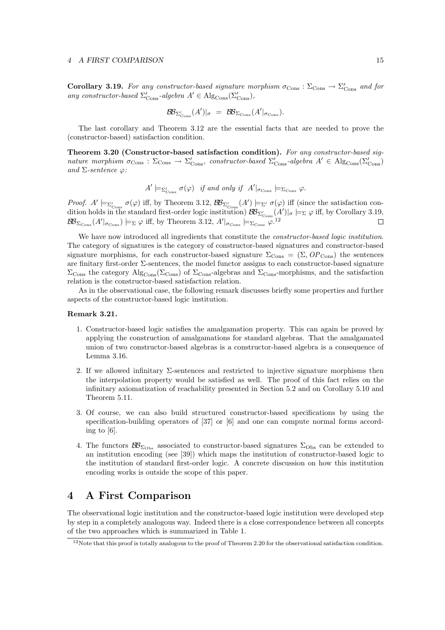#### *4 A FIRST COMPARISON* 15

**Corollary 3.19.** For any constructor-based signature morphism  $\sigma_{\text{Cons}} : \Sigma_{\text{Cons}} \to \Sigma_{\text{Cons}}'$  and for any constructor-based  $\Sigma_{\text{Cons}}'$ -algebra  $A' \in \text{Alg}_{\text{Cons}}(\Sigma_{\text{Cons}}'),$ 

$$
\mathcal{B}\!\mathcal{B}_{\Sigma'_{\text{Cons}}}(A')|_{\sigma} = \mathcal{B}\!\mathcal{B}_{\Sigma_{\text{Cons}}}(A'|_{\sigma_{\text{Cons}}}).
$$

The last corollary and Theorem 3.12 are the essential facts that are needed to prove the (constructor-based) satisfaction condition.

**Theorem 3.20 (Constructor-based satisfaction condition).** For any constructor-based signature morphism  $\sigma_{\text{Cons}} : \Sigma_{\text{Cons}} \to \Sigma_{\text{Cons}}'$ , constructor-based  $\Sigma_{\text{Cons}}'$ -algebra  $A' \in \text{Alg}_{\text{Cons}}(\Sigma_{\text{Cons}}')$ and  $\Sigma$ -sentence  $\varphi$ :

$$
A' \models_{\Sigma'_{\text{Cons}}} \sigma(\varphi) \quad \text{if and only if} \quad A'|_{\sigma_{\text{Cons}}} \models_{\Sigma_{\text{Cons}}} \varphi.
$$

Proof.  $A' \models_{\Sigma'_{\text{Cons}}} \sigma(\varphi)$  iff, by Theorem 3.12,  $\mathcal{BB}_{\Sigma'_{\text{Cons}}}(A') \models_{\Sigma'} \sigma(\varphi)$  iff (since the satisfaction condition holds in the standard first-order logic institution)  $\mathcal{B}\!\mathcal{B}_{\Sigma'_{\text{Cons}}}(A')|_{\sigma}\models_{\Sigma}\varphi$  iff, by Corollary 3.19,  $\mathcal{BB}_{\Sigma_{\text{Cons}}}(A'|_{\sigma_{\text{Cons}}})\models_{\Sigma}\varphi\text{ iff, by Theorem 3.12, }A'|_{\sigma_{\text{Cons}}}\models_{\Sigma_{\text{Cons}}}\varphi^{.12}$ □

We have now introduced all ingredients that constitute the *constructor-based logic institution*. The category of signatures is the category of constructor-based signatures and constructor-based signature morphisms, for each constructor-based signature  $\Sigma_{\text{Cons}} = (\Sigma, OP_{\text{Cons}})$  the sentences are finitary first-order Σ-sentences, the model functor assigns to each constructor-based signature  $\Sigma_{\text{Cons}}$  the category Alg<sub>Cons</sub>( $\Sigma_{\text{Cons}}$ ) of  $\Sigma_{\text{Cons}}$ -algebras and  $\Sigma_{\text{Cons}}$ -morphisms, and the satisfaction relation is the constructor-based satisfaction relation.

As in the observational case, the following remark discusses briefly some properties and further aspects of the constructor-based logic institution.

### **Remark 3.21.**

- 1. Constructor-based logic satisfies the amalgamation property. This can again be proved by applying the construction of amalgamations for standard algebras. That the amalgamated union of two constructor-based algebras is a constructor-based algebra is a consequence of Lemma 3.16.
- 2. If we allowed infinitary  $\Sigma$ -sentences and restricted to injective signature morphisms then the interpolation property would be satisfied as well. The proof of this fact relies on the infinitary axiomatization of reachability presented in Section 5.2 and on Corollary 5.10 and Theorem 5.11.
- 3. Of course, we can also build structured constructor-based specifications by using the specification-building operators of [37] or [6] and one can compute normal forms according to [6].
- 4. The functors  $\mathcal{B}_{\Sigma_{\text{Obs}}}$  associated to constructor-based signatures  $\Sigma_{\text{Obs}}$  can be extended to an institution encoding (see [39]) which maps the institution of constructor-based logic to the institution of standard first-order logic. A concrete discussion on how this institution encoding works is outside the scope of this paper.

# **4 A First Comparison**

The observational logic institution and the constructor-based logic institution were developed step by step in a completely analogous way. Indeed there is a close correspondence between all concepts of the two approaches which is summarized in Table 1.

<sup>&</sup>lt;sup>12</sup>Note that this proof is totally analogous to the proof of Theorem 2.20 for the observational satisfaction condition.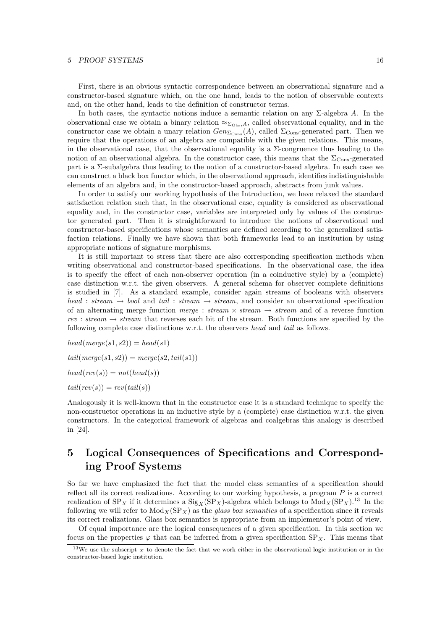First, there is an obvious syntactic correspondence between an observational signature and a constructor-based signature which, on the one hand, leads to the notion of observable contexts and, on the other hand, leads to the definition of constructor terms.

In both cases, the syntactic notions induce a semantic relation on any  $\Sigma$ -algebra A. In the observational case we obtain a binary relation  $\approx_{\Sigma_{\text{Obs}},A}$ , called observational equality, and in the constructor case we obtain a unary relation  $Gen_{\Sigma_{\text{Cons}}}(A)$ , called  $\Sigma_{\text{Cons}}$ -generated part. Then we require that the operations of an algebra are compatible with the given relations. This means, in the observational case, that the observational equality is a  $\Sigma$ -congruence thus leading to the notion of an observational algebra. In the constructor case, this means that the  $\Sigma_{\rm Cons}$ -generated part is a Σ-subalgebra thus leading to the notion of a constructor-based algebra. In each case we can construct a black box functor which, in the observational approach, identifies indistinguishable elements of an algebra and, in the constructor-based approach, abstracts from junk values.

In order to satisfy our working hypothesis of the Introduction, we have relaxed the standard satisfaction relation such that, in the observational case, equality is considered as observational equality and, in the constructor case, variables are interpreted only by values of the constructor generated part. Then it is straightforward to introduce the notions of observational and constructor-based specifications whose semantics are defined according to the generalized satisfaction relations. Finally we have shown that both frameworks lead to an institution by using appropriate notions of signature morphisms.

It is still important to stress that there are also corresponding specification methods when writing observational and constructor-based specifications. In the observational case, the idea is to specify the effect of each non-observer operation (in a coinductive style) by a (complete) case distinction w.r.t. the given observers. A general schema for observer complete definitions is studied in [7]. As a standard example, consider again streams of booleans with observers head : stream  $\rightarrow$  bool and tail : stream  $\rightarrow$  stream, and consider an observational specification of an alternating merge function merge : stream  $\times$  stream  $\rightarrow$  stream and of a reverse function rev : stream  $\rightarrow$  stream that reverses each bit of the stream. Both functions are specified by the following complete case distinctions w.r.t. the observers head and tail as follows.

 $head(merge(s1, s2)) = head(s1)$  $tail(merge(s1,s2)) = merge(s2,tail(s1))$  $head(rev(s)) = not(head(s))$  $tail(rev(s)) = rev(tail(s))$ 

Analogously it is well-known that in the constructor case it is a standard technique to specify the non-constructor operations in an inductive style by a (complete) case distinction w.r.t. the given constructors. In the categorical framework of algebras and coalgebras this analogy is described in [24].

# **5 Logical Consequences of Specifications and Corresponding Proof Systems**

So far we have emphasized the fact that the model class semantics of a specification should reflect all its correct realizations. According to our working hypothesis, a program  $P$  is a correct realization of  $SP_X$  if it determines a  $Sig_X(SP_X)$ -algebra which belongs to  $Mod_X(SP_X)$ .<sup>13</sup> In the following we will refer to  $Mod_X(SP_X)$  as the glass box semantics of a specification since it reveals its correct realizations. Glass box semantics is appropriate from an implementor's point of view.

Of equal importance are the logical consequences of a given specification. In this section we focus on the properties  $\varphi$  that can be inferred from a given specification  $SP_X$ . This means that

<sup>&</sup>lt;sup>13</sup>We use the subscript  $\chi$  to denote the fact that we work either in the observational logic institution or in the constructor-based logic institution.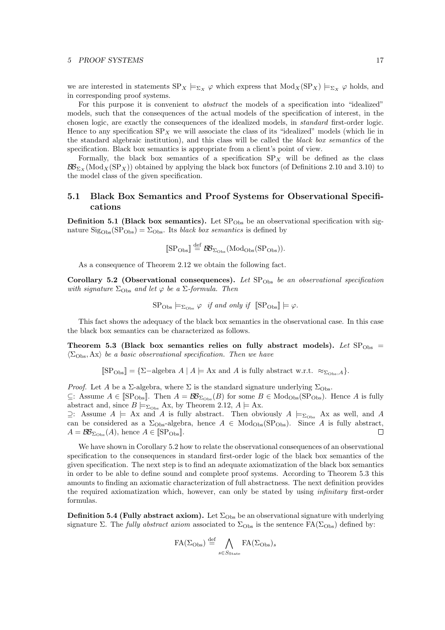we are interested in statements  $SP_X \models_{\Sigma_X} \varphi$  which express that  $Mod_X(SP_X) \models_{\Sigma_X} \varphi$  holds, and in corresponding proof systems.

For this purpose it is convenient to *abstract* the models of a specification into "idealized" models, such that the consequences of the actual models of the specification of interest, in the chosen logic, are exactly the consequences of the idealized models, in standard first-order logic. Hence to any specification  $SP_X$  we will associate the class of its "idealized" models (which lie in the standard algebraic institution), and this class will be called the black box semantics of the specification. Black box semantics is appropriate from a client's point of view.

Formally, the black box semantics of a specification  $SP_X$  will be defined as the class  $\mathcal{B}_{\Sigma_{X}}(\text{Mod}_{X}(SP_{X}))$  obtained by applying the black box functors (of Definitions 2.10 and 3.10) to the model class of the given specification.

# **5.1 Black Box Semantics and Proof Systems for Observational Specifications**

**Definition 5.1 (Black box semantics).** Let  $SP<sub>Obs</sub>$  be an observational specification with signature  $\text{Sig}_{\text{Obs}}(\text{SP}_{\text{Obs}}) = \Sigma_{\text{Obs}}$ . Its black box semantics is defined by

$$
\llbracket \text{SP}_{\text{Obs}} \rrbracket \stackrel{\text{def}}{=} \text{BB}_{\Sigma_{\text{Obs}}}(\text{Mod}_{\text{Obs}}(\text{SP}_{\text{Obs}})).
$$

As a consequence of Theorem 2.12 we obtain the following fact.

Corollary 5.2 (Observational consequences). Let  $SP<sub>Obs</sub>$  be an observational specification with signature  $\Sigma_{\text{Obs}}$  and let  $\varphi$  be a  $\Sigma$ -formula. Then

$$
\text{SP}_{\text{Obs}} \models_{\Sigma_{\text{Obs}}} \varphi \quad \text{if and only if} \quad \text{[SP}_{\text{Obs}} \models \varphi.
$$

This fact shows the adequacy of the black box semantics in the observational case. In this case the black box semantics can be characterized as follows.

**Theorem 5.3 (Black box semantics relies on fully abstract models).** Let  $SP<sub>Obs</sub>$  =  $\langle \Sigma_{\text{Obs}}, \mathbf{A} \mathbf{x} \rangle$  be a basic observational specification. Then we have

 $[\[\text{SP}_{\text{Obs}}] = {\{\Sigma-\text{algebra } A \mid A \models \text{Ax and } A \text{ is fully abstract w.r.t. } \approx_{\Sigma_{\text{Obs}}} A \}}$ .

*Proof.* Let A be a  $\Sigma$ -algebra, where  $\Sigma$  is the standard signature underlying  $\Sigma_{\text{Obs}}$ .  $\subseteq$ : Assume  $A \in \mathbb{S}\mathcal{P}_{\text{Obs}}$ . Then  $A = \mathcal{B}\mathcal{B}_{\Sigma_{\text{Obs}}}(B)$  for some  $B \in \text{Mod}_{\text{Obs}}(\text{SP}_{\text{Obs}})$ . Hence A is fully abstract and, since  $B \models_{\Sigma_{\text{Obs}}} Ax$ , by Theorem 2.12,  $A \models Ax$ .

 $\supseteq$ : Assume A  $\models$  Ax and A is fully abstract. Then obviously A  $\models_{\Sigma_{\text{Obs}}}$  Ax as well, and A can be considered as a  $\Sigma_{\text{Obs}}$ -algebra, hence  $A \in \text{Mod}_{\text{Obs}}(\text{SP}_{\text{Obs}})$ . Since A is fully abstract,  $A = \mathcal{B} \mathcal{B}_{\Sigma_{\text{Obs}}}(A)$ , hence  $A \in \llbracket \text{SP}_{\text{Obs}} \rrbracket$ . П

We have shown in Corollary 5.2 how to relate the observational consequences of an observational specification to the consequences in standard first-order logic of the black box semantics of the given specification. The next step is to find an adequate axiomatization of the black box semantics in order to be able to define sound and complete proof systems. According to Theorem 5.3 this amounts to finding an axiomatic characterization of full abstractness. The next definition provides the required axiomatization which, however, can only be stated by using infinitary first-order formulas.

**Definition 5.4 (Fully abstract axiom).** Let  $\Sigma_{\text{Obs}}$  be an observational signature with underlying signature Σ. The fully abstract axiom associated to  $\Sigma_{\text{Obs}}$  is the sentence  $FA(\Sigma_{\text{Obs}})$  defined by:

$$
\text{FA}(\Sigma_{\text{Obs}}) \stackrel{\text{def}}{=} \bigwedge_{s \in S_{\text{State}}} \text{FA}(\Sigma_{\text{Obs}})_s
$$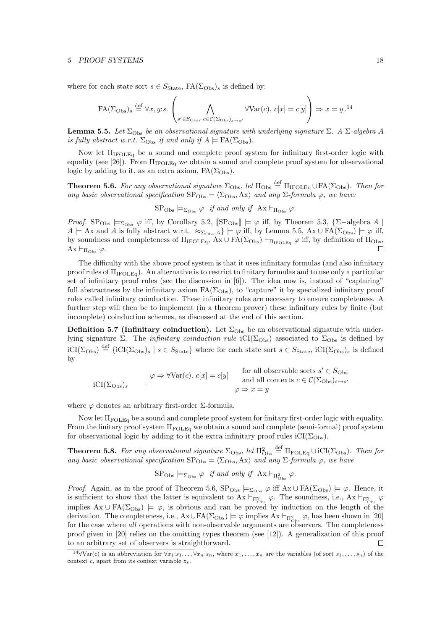where for each state sort  $s \in S_{\text{State}}$ ,  $FA(\Sigma_{\text{Obs}})$  is defined by:

$$
\text{FA}(\Sigma_{\text{Obs}})_{s} \stackrel{\text{def}}{=} \forall x, y \text{: } s. \left( \bigwedge_{s' \in S_{\text{Obs}}, c \in \mathcal{C}(\Sigma_{\text{Obs}})_{s \to s'}} \forall \text{Var}(c). \ c[x] = c[y] \right) \Rightarrow x = y.^{14}
$$

**Lemma 5.5.** Let  $\Sigma_{Obs}$  be an observational signature with underlying signature  $\Sigma$ . A  $\Sigma$ -algebra A is fully abstract w.r.t.  $\Sigma_{\text{Obs}}$  if and only if  $A \models \text{FA}(\Sigma_{\text{Obs}})$ .

Now let  $\Pi_{\text{IFOLEq}}$  be a sound and complete proof system for infinitary first-order logic with equality (see [26]). From  $\Pi_{\text{FOLEq}}$  we obtain a sound and complete proof system for observational logic by adding to it, as an extra axiom,  $FA(\Sigma_{Obs})$ .

**Theorem 5.6.** For any observational signature  $\Sigma_{\text{Obs}}$ , let  $\Pi_{\text{Obs}} \stackrel{\text{def}}{=} \Pi_{\text{IFOLEq}} \cup \text{FA}(\Sigma_{\text{Obs}})$ . Then for any basic observational specification  $SP_{Obs} = \langle \Sigma_{Obs}, Ax \rangle$  and any  $\Sigma$ -formula  $\varphi$ , we have:

 $SP<sub>Obs</sub> \models_{\Sigma_{Obs}} \varphi$  if and only if  $Ax \vdash_{\Pi_{Obs}} \varphi$ .

*Proof.* SP<sub>Obs</sub>  $\models \Sigma_{\text{Obs}} \varphi$  iff, by Corollary 5.2,  $[\text{SP}_{\text{Obs}}] \models \varphi$  iff, by Theorem 5.3, {∑-algebra A |  $A \models$  Ax and A is fully abstract w.r.t.  $\approx_{\Sigma_{\text{Obs}},A}$   $\models \varphi$  iff, by Lemma 5.5, Ax  $\cup$  FA( $\Sigma_{\text{Obs}}$ )  $\models \varphi$  iff, by soundness and completeness of  $\Pi_{\text{IFOLEq}}$ ,  $Ax \cup FA(\Sigma_{\text{Obs}}) \vdash_{\Pi_{\text{IFOLEq}}} \varphi$  iff, by definition of  $\Pi_{\text{Obs}}$ ,  $Ax \vdash_{\Pi_{\text{Obs}}} \varphi$ .  $\Box$ 

The difficulty with the above proof system is that it uses infinitary formulas (and also infinitary proof rules of  $\Pi_{\text{IFOLEq}}$ ). An alternative is to restrict to finitary formulas and to use only a particular set of infinitary proof rules (see the discussion in [6]). The idea now is, instead of "capturing" full abstractness by the infinitary axiom  $FA(\Sigma_{Obs})$ , to "capture" it by specialized infinitary proof rules called infinitary coinduction. These infinitary rules are necessary to ensure completeness. A further step will then be to implement (in a theorem prover) these infinitary rules by finite (but incomplete) coinduction schemes, as discussed at the end of this section.

**Definition 5.7 (Infinitary coinduction).** Let  $\Sigma_{\text{Obs}}$  be an observational signature with underlying signature Σ. The *infinitary coinduction rule* iCI( $\Sigma_{\text{Obs}}$ ) associated to  $\Sigma_{\text{Obs}}$  is defined by  $iCI(\Sigma_{\text{Obs}}) \stackrel{\text{def}}{=} \{iCI(\Sigma_{\text{Obs}})_s \mid s \in S_{\text{State}}\}$  where for each state sort  $s \in S_{\text{State}}$ ,  $iCI(\Sigma_{\text{Obs}})_s$  is defined by

iCI(
$$
\Sigma_{\text{Obs}}_s
$$
)<sub>s</sub>  $\varphi \Rightarrow \forall \text{Var}(c) \text{. } c[x] = c[y]$  for all observable sorts  $s' \in S_{\text{Obs}}$   
and all contexts  $c \in C(\Sigma_{\text{Obs}})_{s \to s'}$   $\varphi \Rightarrow x = y$ 

where  $\varphi$  denotes an arbitrary first-order  $\Sigma$ -formula.

Now let ΠFOLEq be a sound and complete proof system for finitary first-order logic with equality. From the finitary proof system  $\Pi_{\text{FOLEq}}$  we obtain a sound and complete (semi-formal) proof system for observational logic by adding to it the extra infinitary proof rules  $iCI(\Sigma_{Obs})$ .

**Theorem 5.8.** For any observational signature  $\Sigma_{\text{Obs}}$ , let  $\Pi_{\text{Obs}}^2 \stackrel{\text{def}}{=} \Pi_{\text{FOLEq}} \cup iCI(\Sigma_{\text{Obs}})$ . Then for any basic observational specification  $SP_{\text{Obs}} = \langle \Sigma_{\text{Obs}}, Ax \rangle$  and any  $\Sigma$ -formula  $\varphi$ , we have

 $\text{SP}_{\text{Obs}} \models_{\Sigma_{\text{Obs}}} \varphi \text{ if and only if } \text{Ax} \vdash_{\Pi^2_{\text{Obs}}} \varphi.$ 

*Proof.* Again, as in the proof of Theorem 5.6,  $SP_{\text{Obs}} \models_{\Sigma_{\text{Obs}}} \varphi$  iff  $Ax \cup FA(\Sigma_{\text{Obs}}) \models \varphi$ . Hence, it is sufficient to show that the latter is equivalent to  $Ax \vdash_{\Pi^2_{\text{Obs}}} \varphi$ . The soundness, i.e.,  $Ax \vdash_{\Pi^2_{\text{Obs}}} \varphi$ implies  $Ax \cup FA(\Sigma_{Obs}) \models \varphi$ , is obvious and can be proved by induction on the length of the derivation. The completeness, i.e.,  $A x \cup FA(\Sigma_{\text{Obs}}) \models \varphi$  implies  $Ax \vdash_{\Pi^2_{\text{Obs}}} \varphi$ , has been shown in [20] for the case where *all* operations with non-observable arguments are observers. The completeness proof given in [20] relies on the omitting types theorem (see [12]). A generalization of this proof to an arbitrary set of observers is straightforward.  $\Box$ 

<sup>&</sup>lt;sup>14</sup>∀Var(c) is an abbreviation for  $\forall x_1: s_1.\ldots.\forall x_n: s_n$ , where  $x_1,\ldots,x_n$  are the variables (of sort  $s_1,\ldots,s_n$ ) of the context c, apart from its context variable z*s*.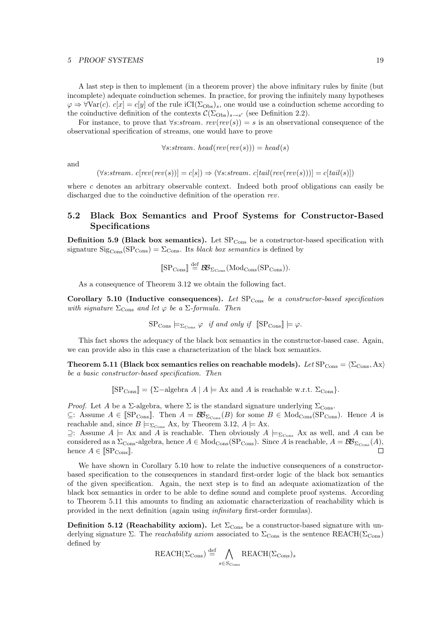A last step is then to implement (in a theorem prover) the above infinitary rules by finite (but incomplete) adequate coinduction schemes. In practice, for proving the infinitely many hypotheses  $\varphi \Rightarrow \forall \text{Var}(c)$ .  $c[x] = c[y]$  of the rule iCI( $\Sigma_{\text{Obs}}$ ), one would use a coinduction scheme according to the coinductive definition of the contexts  $\mathcal{C}(\Sigma_{\text{Obs}})_{s\to s'}$  (see Definition 2.2).

For instance, to prove that  $\forall s: stream. \; rev(rev(s)) = s$  is an observational consequence of the observational specification of streams, one would have to prove

$$
\forall s: stream. \ head(rev(rev(s))) = head(s)
$$

and

$$
(\forall s: stream. \ c[rev(rev(s))] = c[s]) \Rightarrow (\forall s: stream. \ c[tail(rev(rev(s)))] = c[tail(s)])
$$

where  $c$  denotes an arbitrary observable context. Indeed both proof obligations can easily be discharged due to the coinductive definition of the operation rev.

# **5.2 Black Box Semantics and Proof Systems for Constructor-Based Specifications**

**Definition 5.9 (Black box semantics).** Let  $SP_{Cons}$  be a constructor-based specification with signature  $\text{Sig}_{\text{Cons}}(\text{SP}_{\text{Cons}})=\Sigma_{\text{Cons}}$ . Its black box semantics is defined by

$$
\llbracket \text{SP}_{\text{Cons}} \rrbracket \stackrel{\text{def}}{=} \text{BS}_{\Sigma_{\text{Cons}}}(\text{Mod}_{\text{Cons}}(\text{SP}_{\text{Cons}})).
$$

As a consequence of Theorem 3.12 we obtain the following fact.

**Corollary 5.10 (Inductive consequences).** Let  $SP_{Cons}$  be a constructor-based specification with signature  $\Sigma_{\text{Cons}}$  and let  $\varphi$  be a  $\Sigma$ -formula. Then

$$
SP_{\text{Cons}} \models_{\Sigma_{\text{Cons}}} \varphi \text{ if and only if } [\text{SP}_{\text{Cons}}] \models \varphi.
$$

This fact shows the adequacy of the black box semantics in the constructor-based case. Again, we can provide also in this case a characterization of the black box semantics.

**Theorem 5.11 (Black box semantics relies on reachable models).** Let  $SP_{Cons} = \langle \Sigma_{Cons}, Ax \rangle$ be a basic constructor-based specification. Then

 $[\text{SP}_{\text{Cons}}] = {\Sigma-\text{algebra } A \mid A \models \text{Ax and } A \text{ is reachable w.r.t. } \Sigma_{\text{Cons}}}.$ 

*Proof.* Let A be a Σ-algebra, where  $\Sigma$  is the standard signature underlying  $\Sigma_{\text{Cons}}$ .  $\subseteq$ : Assume  $A \in \operatorname{[SP_{Cons}}$ . Then  $A = \mathcal{BB}_{\Sigma_{Cons}}(B)$  for some  $B \in \operatorname{Mod_{Cons}}(\mathrm{SP_{Cons}})$ . Hence A is reachable and, since  $B \models_{\Sigma_{\text{Cons}}} Ax$ , by Theorem 3.12,  $A \models Ax$ .

⊇: Assume  $A \models$  Ax and A is reachable. Then obviously  $A \models_{\Sigma_{\text{Cons}}} A_x$  as well, and A can be considered as a  $\Sigma_{\text{Cons}}$ -algebra, hence  $A \in \text{Mod}_{\text{Cons}}(\text{SP}_{\text{Cons}})$ . Since A is reachable,  $A = \mathcal{BB}_{\Sigma_{\text{Cons}}}(A)$ , hence  $A \in \llbracket \text{SP}_{\text{Cons}} \rrbracket$ . П

We have shown in Corollary 5.10 how to relate the inductive consequences of a constructorbased specification to the consequences in standard first-order logic of the black box semantics of the given specification. Again, the next step is to find an adequate axiomatization of the black box semantics in order to be able to define sound and complete proof systems. According to Theorem 5.11 this amounts to finding an axiomatic characterization of reachability which is provided in the next definition (again using infinitary first-order formulas).

**Definition 5.12 (Reachability axiom).** Let  $\Sigma_{\text{Cons}}$  be a constructor-based signature with underlying signature Σ. The reachability axiom associated to  $\Sigma_{\text{Cons}}$  is the sentence REACH( $\Sigma_{\text{Cons}}$ ) defined by

$$
\mathrm{REACH}(\Sigma_\mathrm{Cons}) \stackrel{\mathrm{def}}{=} \bigwedge_{s \in S_\mathrm{Cons}} \mathrm{REACH}(\Sigma_\mathrm{Cons})_s
$$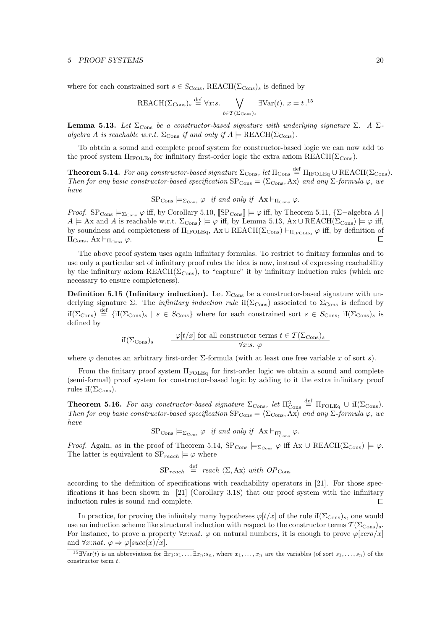where for each constrained sort  $s \in S_{\text{Cons}}$ , REACH( $\Sigma_{\text{Cons}}$ )<sub>s</sub> is defined by

$$
REACH(\Sigma_{\text{Cons}})_s \stackrel{\text{def}}{=} \forall x:s. \bigvee_{t \in \mathcal{T}(\Sigma_{\text{Cons}})_s} \exists \text{Var}(t). \ x = t.^{15}
$$

**Lemma 5.13.** Let  $\Sigma_{\text{Cons}}$  be a constructor-based signature with underlying signature  $\Sigma$ . A  $\Sigma$ algebra A is reachable w.r.t.  $\Sigma_{\text{Cons}}$  if and only if  $A \models \text{REACH}(\Sigma_{\text{Cons}})$ .

To obtain a sound and complete proof system for constructor-based logic we can now add to the proof system  $\Pi_{\text{IFOLEq}}$  for infinitary first-order logic the extra axiom REACH( $\Sigma_{\text{Cons}}$ ).

**Theorem 5.14.** For any constructor-based signature  $\Sigma_{\text{Cons}}$ , let  $\Pi_{\text{Cons}} \stackrel{\text{def}}{=} \Pi_{\text{IFOLEq}} \cup \text{REACH}(\Sigma_{\text{Cons}})$ . Then for any basic constructor-based specification  $SP_{\text{Cons}} = \langle \Sigma_{\text{Cons}} \rangle$  and any  $\Sigma$ -formula  $\varphi$ , we have

 $SP_{\text{Cons}} \models_{\Sigma_{\text{Cons}}} \varphi \text{ if and only if } Ax \models_{\Pi_{\text{Cons}}} \varphi.$ 

*Proof.* SP<sub>Cons</sub>  $\models \Sigma_{\text{Cons}} \varphi$  iff, by Corollary 5.10, [SP<sub>Cons</sub>]  $\models \varphi$  iff, by Theorem 5.11, {∑–algebra A  $A \models$  Ax and A is reachable w.r.t.  $\Sigma_{\text{Cons}} \models \varphi$  iff, by Lemma 5.13, Ax ∪ REACH( $\Sigma_{\text{Cons}} \models \varphi$  iff, by soundness and completeness of  $\Pi_{IFOLEq}$ , Ax ∪ REACH( $\Sigma_{Cons}$ )  $\vdash_{\Pi_{IFOLEq}} \varphi$  iff, by definition of  $\Pi_{\text{Cons}}, \text{Ax} \vdash_{\Pi_{\text{Cons}}} \varphi.$  $\Box$ 

The above proof system uses again infinitary formulas. To restrict to finitary formulas and to use only a particular set of infinitary proof rules the idea is now, instead of expressing reachability by the infinitary axiom  $REACH(\Sigma_{Cons})$ , to "capture" it by infinitary induction rules (which are necessary to ensure completeness).

**Definition 5.15 (Infinitary induction).** Let  $\Sigma_{\text{Cons}}$  be a constructor-based signature with underlying signature Σ. The *infinitary induction rule* iI( $\Sigma_{\text{Cons}}$ ) associated to  $\Sigma_{\text{Cons}}$  is defined by  $iI(\Sigma_{\text{Cons}}) \stackrel{\text{def}}{=} \{iI(\Sigma_{\text{Cons}})_s \mid s \in S_{\text{Cons}}\}$  where for each constrained sort  $s \in S_{\text{Cons}}$ ,  $iI(\Sigma_{\text{Cons}})_s$  is defined by

$$
iI(\Sigma_{\text{Cons}})_s \qquad \frac{\varphi[t/x] \text{ for all constructor terms } t \in \mathcal{T}(\Sigma_{\text{Cons}})_s}{\forall x:s. \varphi}
$$

where  $\varphi$  denotes an arbitrary first-order  $\Sigma$ -formula (with at least one free variable x of sort s).

From the finitary proof system  $\Pi_{\rm FOLEq}$  for first-order logic we obtain a sound and complete (semi-formal) proof system for constructor-based logic by adding to it the extra infinitary proof rules iI( $\Sigma_{\rm Cons}$ ).

**Theorem 5.16.** For any constructor-based signature  $\Sigma_{\text{Cons}}$ , let  $\Pi_{\text{Cons}}^2 \stackrel{\text{def}}{=} \Pi_{\text{FOLEq}} \cup \text{if}(\Sigma_{\text{Cons}})$ . Then for any basic constructor-based specification  $SP_{\text{Cons}} = \langle \Sigma_{\text{Cons}} , Ax \rangle$  and any  $\Sigma$ -formula  $\varphi$ , we have

 $\text{SP}_{\text{Cons}} \models_{\Sigma_{\text{Cons}}} \varphi \text{ if and only if } \text{ Ax} \models_{\Pi^2_{\text{Cons}}} \varphi.$ 

*Proof.* Again, as in the proof of Theorem 5.14,  $SP_{\text{Cons}} \models_{\Sigma_{\text{Cons}}} \varphi$  iff Ax  $\cup$  REACH( $\Sigma_{\text{Cons}} \models \varphi$ . The latter is equivalent to  $SP_{reach} \models \varphi$  where

$$
SP_{reach} \stackrel{\text{def}}{=} reach \langle \Sigma, Ax \rangle \ with \ OP_{Cons}
$$

according to the definition of specifications with reachability operators in [21]. For those specifications it has been shown in  $[21]$  (Corollary 3.18) that our proof system with the infinitary induction rules is sound and complete.  $\Box$ 

In practice, for proving the infinitely many hypotheses  $\varphi[t/x]$  of the rule iI( $\Sigma_{\text{Cons}}$ )<sub>s</sub>, one would use an induction scheme like structural induction with respect to the constructor terms  $\mathcal{T}(\Sigma_{\text{Cons}})_{s}$ . For instance, to prove a property  $\forall x : nat. \varphi$  on natural numbers, it is enough to prove  $\varphi[zero/x]$ and  $\forall x : nat. \varphi \Rightarrow \varphi[succ(x)/x].$ 

<sup>&</sup>lt;sup>15</sup>∃Var(t) is an abbreviation for  $\exists x_1 : s_1 \ldots \exists x_n : s_n$ , where  $x_1, \ldots, x_n$  are the variables (of sort  $s_1, \ldots, s_n$ ) of the constructor term t.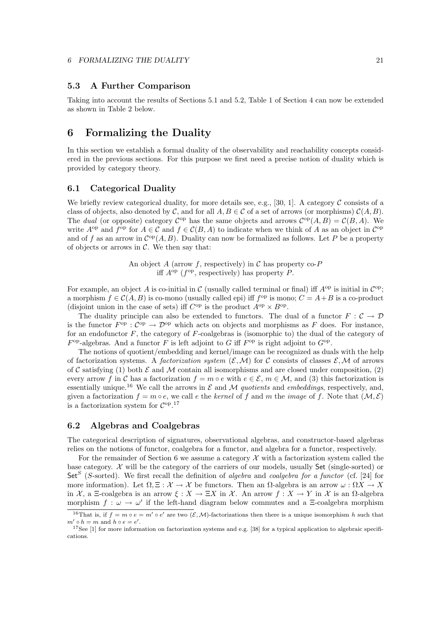# **5.3 A Further Comparison**

Taking into account the results of Sections 5.1 and 5.2, Table 1 of Section 4 can now be extended as shown in Table 2 below.

# **6 Formalizing the Duality**

In this section we establish a formal duality of the observability and reachability concepts considered in the previous sections. For this purpose we first need a precise notion of duality which is provided by category theory.

### **6.1 Categorical Duality**

We briefly review categorical duality, for more details see, e.g., [30, 1]. A category  $\mathcal C$  consists of a class of objects, also denoted by C, and for all  $A, B \in \mathcal{C}$  of a set of arrows (or morphisms)  $\mathcal{C}(A, B)$ . The dual (or opposite) category  $\mathcal{C}^{\text{op}}$  has the same objects and arrows  $\mathcal{C}^{\text{op}}(A, B) = \mathcal{C}(B, A)$ . We write  $A^{\rm op}$  and  $f^{\rm op}$  for  $A \in \mathcal{C}$  and  $f \in \mathcal{C}(B, A)$  to indicate when we think of A as an object in  $\mathcal{C}^{\rm op}$ and of f as an arrow in  $C^{op}(A, B)$ . Duality can now be formalized as follows. Let P be a property of objects or arrows in  $\mathcal{C}$ . We then say that:

> An object A (arrow f, respectively) in C has property co-P iff  $A^{op}$  ( $f^{op}$ , respectively) has property P.

For example, an object A is co-initial in C (usually called terminal or final) iff  $A^{op}$  is initial in  $\mathcal{C}^{op}$ ; a morphism  $f \in \mathcal{C}(A, B)$  is co-mono (usually called epi) iff  $f^{\rm op}$  is mono;  $C = A + B$  is a co-product (disjoint union in the case of sets) iff  $C^{op}$  is the product  $A^{op} \times B^{op}$ .

The duality principle can also be extended to functors. The dual of a functor  $F : \mathcal{C} \to \mathcal{D}$ is the functor  $F^{\rm op} : C^{\rm op} \to \mathcal{D}^{\rm op}$  which acts on objects and morphisms as F does. For instance, for an endofunctor  $F$ , the category of  $F$ -coalgebras is (isomorphic to) the dual of the category of  $F<sup>op</sup>$ -algebras. And a functor F is left adjoint to G iff  $F<sup>op</sup>$  is right adjoint to  $G<sup>op</sup>$ .

The notions of quotient/embedding and kernel/image can be recognized as duals with the help of factorization systems. A factorization system  $(\mathcal{E}, \mathcal{M})$  for C consists of classes  $\mathcal{E}, \mathcal{M}$  of arrows of C satisfying (1) both  $\mathcal E$  and M contain all isomorphisms and are closed under composition, (2) every arrow f in C has a factorization  $f = m \circ e$  with  $e \in \mathcal{E}, m \in \mathcal{M}$ , and (3) this factorization is essentially unique.<sup>16</sup> We call the arrows in  $\mathcal E$  and  $\mathcal M$  quotients and embeddings, respectively, and, given a factorization  $f = m \circ e$ , we call e the kernel of f and m the image of f. Note that  $(M, \mathcal{E})$ is a factorization system for  $C^{op.17}$ 

### **6.2 Algebras and Coalgebras**

The categorical description of signatures, observational algebras, and constructor-based algebras relies on the notions of functor, coalgebra for a functor, and algebra for a functor, respectively.

For the remainder of Section 6 we assume a category  $\mathcal X$  with a factorization system called the base category.  $\mathcal X$  will be the category of the carriers of our models, usually Set (single-sorted) or Set<sup>S</sup> (S-sorted). We first recall the definition of *algebra* and *coalgebra for a functor* (cf. [24] for more information). Let  $\Omega$ ,  $\Xi : \mathcal{X} \to \mathcal{X}$  be functors. Then an  $\Omega$ -algebra is an arrow  $\omega : \Omega X \to X$ in X, a Ξ-coalgebra is an arrow  $\xi : X \to \Xi X$  in X. An arrow  $f : X \to Y$  in X is an  $\Omega$ -algebra morphism  $f : \omega \to \omega'$  if the left-hand diagram below commutes and a Ξ-coalgebra morphism

<sup>&</sup>lt;sup>16</sup>That is, if  $f = m \circ e = m' \circ e'$  are two  $(\mathcal{E}, \mathcal{M})$ -factorizations then there is a unique isomorphism h such that  $m' \circ h = m$  and  $h \circ e = e'.$ 

 $17$ See [1] for more information on factorization systems and e.g. [38] for a typical application to algebraic specifications.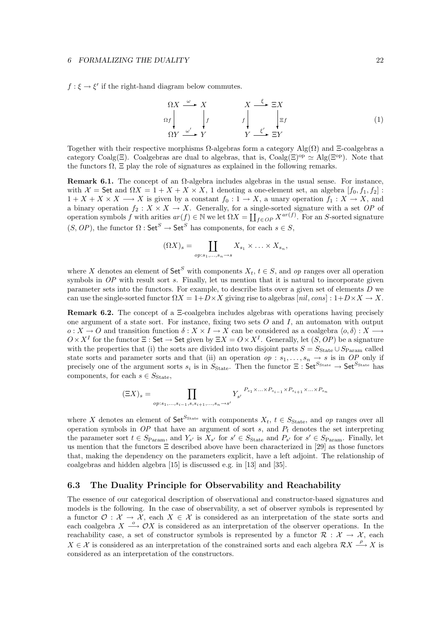$f : \xi \to \xi'$  if the right-hand diagram below commutes.

$$
\Omega X \xrightarrow{\omega} X \qquad X \xrightarrow{\xi} \Xi X
$$
\n
$$
\Omega f \downarrow f \qquad f \downarrow \qquad f \downarrow \Xi f
$$
\n
$$
\Omega Y \xrightarrow{\omega'} Y \qquad Y \xrightarrow{\xi'} \Xi Y
$$
\n(1)

Together with their respective morphisms  $Ω$ -algebras form a category Alg( $Ω$ ) and  $Xi$ -coalgebras a category Coalg(Ξ). Coalgebras are dual to algebras, that is, Coalg(Ξ)<sup>op</sup>  $\simeq$  Alg(Ξ<sup>op</sup>). Note that the functors  $\Omega$ ,  $\Xi$  play the role of signatures as explained in the following remarks.

**Remark 6.1.** The concept of an  $\Omega$ -algebra includes algebras in the usual sense. For instance, with  $\mathcal{X} =$  Set and  $\Omega X = 1 + X + X \times X$ , 1 denoting a one-element set, an algebra  $[f_0, f_1, f_2]$ :  $1 + X + X \times X \longrightarrow X$  is given by a constant  $f_0: 1 \longrightarrow X$ , a unary operation  $f_1: X \longrightarrow X$ , and a binary operation  $f_2 : X \times X \to X$ . Generally, for a single-sorted signature with a set OP of operation symbols f with arities  $ar(f) \in \mathbb{N}$  we let  $\Omega X = \coprod_{f \in OP} X^{ar(f)}$ . For an S-sorted signature  $(S, OP)$ , the functor  $\Omega$  :  $\mathsf{Set}^S \to \mathsf{Set}^S$  has components, for each  $s \in S$ ,

$$
(\Omega X)_s = \coprod_{op:s_1,\ldots,s_n \to s} X_{s_1} \times \ldots \times X_{s_n},
$$

where X denotes an element of  $\mathsf{Set}^S$  with components  $X_t, t \in S$ , and op ranges over all operation symbols in  $OP$  with result sort s. Finally, let us mention that it is natural to incorporate given parameter sets into the functors. For example, to describe lists over a given set of elements D we can use the single-sorted functor  $\Omega X = 1 + D \times X$  giving rise to algebras  $[nil, cons] : 1 + D \times X \rightarrow X$ .

**Remark 6.2.** The concept of a Ξ-coalgebra includes algebras with operations having precisely one argument of a state sort. For instance, fixing two sets  $O$  and  $I$ , an automaton with output  $o: X \to O$  and transition function  $\delta: X \times I \to X$  can be considered as a coalgebra  $\langle o, \delta \rangle: X \to O$  $O \times X^I$  for the functor  $\Xi$ : Set  $\to$  Set given by  $\Xi X = O \times X^I$ . Generally, let  $(S, OP)$  be a signature with the properties that (i) the sorts are divided into two disjoint parts  $S = S_{\text{State}} \cup S_{\text{Param}}$  called state sorts and parameter sorts and that (ii) an operation  $op : s_1, \ldots, s_n \to s$  is in OP only if precisely one of the argument sorts  $s_i$  is in  $S_{\text{State}}$ . Then the functor  $\Xi$ : Set<sup>Sstate</sup>  $\to$  Set<sup>Sstate</sup> has components, for each  $s \in S_{\text{State}}$ ,

$$
(\Xi X)_s = \prod_{op:s_1,\ldots,s_{i-1},s,s_{i+1},\ldots,s_n\to s'} Y_{s'}^{\quad P_{s_1}\times\ldots\times P_{s_{i-1}}\times P_{s_{i+1}}\times\ldots\times P_{s_n}}
$$

where X denotes an element of  $\mathsf{Set}^{S_{\text{State}}}$  with components  $X_t$ ,  $t \in S_{\text{State}}$ , and op ranges over all operation symbols in  $OP$  that have an argument of sort s, and  $P_t$  denotes the set interpreting the parameter sort  $t \in S_{\text{Param}}$ , and  $Y_{s'}$  is  $X_{s'}$  for  $s' \in S_{\text{State}}$  and  $P_{s'}$  for  $s' \in S_{\text{Param}}$ . Finally, let us mention that the functors  $\Xi$  described above have been characterized in [29] as those functors that, making the dependency on the parameters explicit, have a left adjoint. The relationship of coalgebras and hidden algebra [15] is discussed e.g. in [13] and [35].

### **6.3 The Duality Principle for Observability and Reachability**

The essence of our categorical description of observational and constructor-based signatures and models is the following. In the case of observability, a set of observer symbols is represented by a functor  $\mathcal{O}: \mathcal{X} \to \mathcal{X}$ , each  $X \in \mathcal{X}$  is considered as an interpretation of the state sorts and each coalgebra  $X \stackrel{o}{\longrightarrow} O X$  is considered as an interpretation of the observer operations. In the reachability case, a set of constructor symbols is represented by a functor  $\mathcal{R}: \mathcal{X} \to \mathcal{X}$ , each  $X \in \mathcal{X}$  is considered as an interpretation of the constrained sorts and each algebra  $\mathcal{R}X \stackrel{\rho}{\longrightarrow} X$  is considered as an interpretation of the constructors.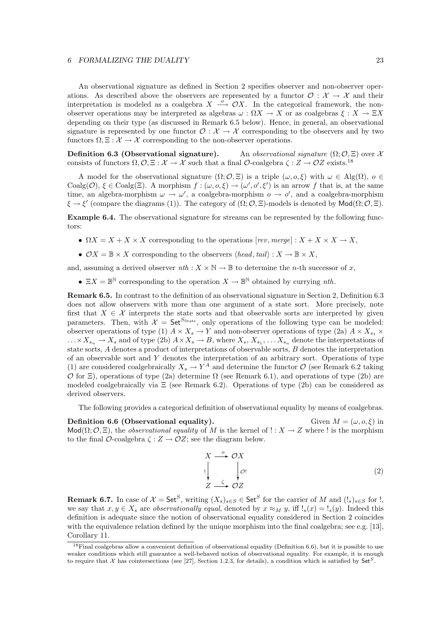An observational signature as defined in Section 2 specifies observer and non-observer operations. As described above the observers are represented by a functor  $\mathcal{O}: \mathcal{X} \to \mathcal{X}$  and their interpretation is modeled as a coalgebra  $X \stackrel{o}{\longrightarrow} OX$ . In the categorical framework, the nonobserver operations may be interpreted as algebras  $\omega : \Omega X \to X$  or as coalgebras  $\xi : X \to \Xi X$ depending on their type (as discussed in Remark 6.5 below). Hence, in general, an observational signature is represented by one functor  $\mathcal{O}: \mathcal{X} \to \mathcal{X}$  corresponding to the observers and by two functors  $\Omega, \Xi: \mathcal{X} \to \mathcal{X}$  corresponding to the non-observer operations.

**Definition 6.3 (Observational signature).** An observational signature  $(\Omega; \mathcal{O}, \Xi)$  over X consists of functors  $\Omega, \mathcal{O}, \Xi : \mathcal{X} \to \mathcal{X}$  such that a final  $\mathcal{O}\text{-coalgebra } \zeta : Z \to \mathcal{O}Z$  exists.<sup>18</sup>

A model for the observational signature  $(\Omega; \mathcal{O}, \Xi)$  is a triple  $(\omega, o, \xi)$  with  $\omega \in \text{Alg}(\Omega)$ ,  $o \in$ Coalg $(\mathcal{O}), \xi \in \text{Coalg}(\Xi)$ . A morphism  $f : (\omega, o, \xi) \to (\omega', o', \xi')$  is an arrow f that is, at the same time, an algebra-morphism  $\omega \to \omega'$ , a coalgebra-morphism  $o \to o'$ , and a coalgebra-morphism  $\xi \to \xi'$  (compare the diagrams (1)). The category of  $(\Omega; \mathcal{O}, \Xi)$ -models is denoted by Mod $(\Omega; \mathcal{O}, \Xi)$ .

**Example 6.4.** The observational signature for streams can be represented by the following functors:

- $\Omega X = X + X \times X$  corresponding to the operations  $[rev, merge] : X + X \times X \rightarrow X$ ,
- $\mathcal{O}X = \mathbb{B} \times X$  corresponding to the observers  $\langle head, tail \rangle : X \to \mathbb{B} \times X$ ,

and, assuming a derived observer  $nth : X \times \mathbb{N} \to \mathbb{B}$  to determine the *n*-th successor of x,

•  $\Xi X = \mathbb{B}^{\mathbb{N}}$  corresponding to the operation  $X \to \mathbb{B}^{\mathbb{N}}$  obtained by currying nth.

**Remark 6.5.** In contrast to the definition of an observational signature in Section 2, Definition 6.3 does not allow observers with more than one argument of a state sort. More precisely, note first that  $X \in \mathcal{X}$  interprets the state sorts and that observable sorts are interpreted by given parameters. Then, with  $\mathcal{X} = \mathsf{Set}^{S_{\text{State}}}$ , only operations of the following type can be modeled: observer operations of type (1)  $A \times X_s \to Y$  and non-observer operations of type (2a)  $A \times X_{s_1} \times Y_s$  $\ldots \times X_{s_n} \to X_s$  and of type (2b)  $A \times X_s \to B$ , where  $X_s, X_{s_1}, \ldots X_{s_n}$  denote the interpretations of state sorts, A denotes a product of interpretations of observable sorts, B denotes the interpretation of an observable sort and Y denotes the interpretation of an arbitrary sort. Operations of type (1) are considered coalgebraically  $X_s \to Y^A$  and determine the functor  $\mathcal O$  (see Remark 6.2 taking O for  $\Xi$ ), operations of type (2a) determine  $\Omega$  (see Remark 6.1), and operations of type (2b) are modeled coalgebraically via  $\Xi$  (see Remark 6.2). Operations of type (2b) can be considered as derived observers.

The following provides a categorical definition of observational equality by means of coalgebras.

**Definition 6.6 (Observational equality).** Given  $M = (\omega, o, \xi)$  in Mod( $\Omega$ ;  $\mathcal{O}$ ,  $\Xi$ ), the *observational equality* of M is the kernel of !:  $X \to Z$  where ! is the morphism to the final  $\mathcal{O}\text{-coalgebra } \zeta : Z \to \mathcal{O}Z$ ; see the diagram below.

$$
X \xrightarrow{\circ} \mathcal{O}X
$$
  
!\n
$$
Z \xrightarrow{\zeta} \mathcal{O}Z
$$
\n(2)

**Remark 6.7.** In case of  $\mathcal{X} = \mathsf{Set}^S$ , writing  $(X_s)_{s \in S} \in \mathsf{Set}^S$  for the carrier of M and  $(!s)_{s \in S}$  for  $!,$ we say that  $x, y \in X_s$  are *observationally equal*, denoted by  $x \approx_M y$ , iff  $!_s(x) = 1_s(y)$ . Indeed this definition is adequate since the notion of observational equality considered in Section 2 coincides with the equivalence relation defined by the unique morphism into the final coalgebra; see e.g. [13], Corollary 11.

 $18$ Final coalgebras allow a convenient definition of observational equality (Definition 6.6), but it is possible to use weaker conditions which still guarantee a well-behaved notion of observational equality. For example, it is enough to require that <sup>X</sup> has cointersections (see [27], Section 1.2.3, for details), a condition which is satisfied by Set*S*.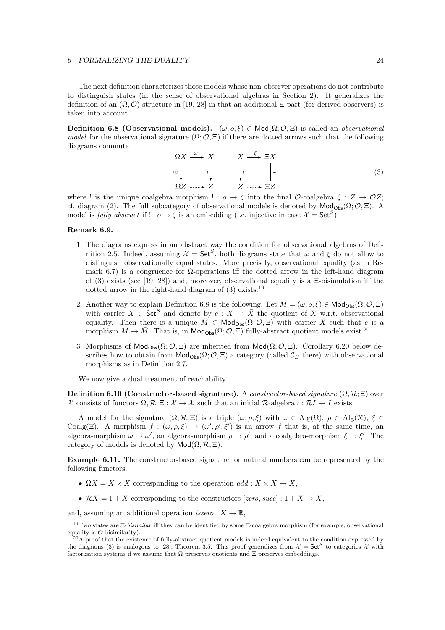The next definition characterizes those models whose non-observer operations do not contribute to distinguish states (in the sense of observational algebras in Section 2). It generalizes the definition of an  $(\Omega, \mathcal{O})$ -structure in [19, 28] in that an additional  $\Xi$ -part (for derived observers) is taken into account.

**Definition 6.8 (Observational models).**  $(\omega, o, \xi) \in Mod(\Omega; \mathcal{O}, \Xi)$  is called an *observational* model for the observational signature  $(\Omega; \mathcal{O}, \Xi)$  if there are dotted arrows such that the following diagrams commute

$$
\Omega X \xrightarrow{\omega} X \qquad X \xrightarrow{\xi} \Xi X
$$
  
\n
$$
\Omega \downarrow \qquad \qquad \downarrow \qquad \qquad \downarrow \qquad \qquad \downarrow \Xi
$$
  
\n
$$
\Omega Z \xrightarrow{\cdots} Z \qquad Z \xrightarrow{\cdots} \Xi Z \qquad (3)
$$

where ! is the unique coalgebra morphism ! :  $o \rightarrow \zeta$  into the final  $\mathcal{O}\text{-coalgebra }\zeta : Z \rightarrow \mathcal{O}Z;$ cf. diagram (2). The full subcategory of observational models is denoted by  $\mathsf{Mod}_{\mathsf{Obs}}(\Omega;\mathcal{O},\Xi)$ . A model is fully abstract if  $! : o \to \zeta$  is an embedding (i.e. injective in case  $\mathcal{X} = \mathsf{Set}^S$ ).

#### **Remark 6.9.**

- 1. The diagrams express in an abstract way the condition for observational algebras of Definition 2.5. Indeed, assuming  $\mathcal{X} = \mathsf{Set}^S$ , both diagrams state that  $\omega$  and  $\xi$  do not allow to distinguish observationally equal states. More precisely, observational equality (as in Remark 6.7) is a congruence for  $\Omega$ -operations iff the dotted arrow in the left-hand diagram of (3) exists (see [19, 28]) and, moreover, observational equality is a Ξ-bisimulation iff the dotted arrow in the right-hand diagram of  $(3)$  exists.<sup>19</sup>
- 2. Another way to explain Definition 6.8 is the following. Let  $M = (\omega, o, \xi) \in \mathsf{Mod}_{\mathsf{Obs}}(\Omega; \mathcal{O}, \Xi)$ with carrier  $X \in \mathsf{Set}^S$  and denote by  $e: X \to \overline{X}$  the quotient of X w.r.t. observational equality. Then there is a unique  $\overline{M} \in Mod_{\mathsf{Obs}}(\Omega; \mathcal{O}, \Xi)$  with carrier  $\overline{X}$  such that e is a morphism  $M \to \overline{M}$ . That is, in  $\mathsf{Mod}_{\mathsf{Obs}}(\Omega; \mathcal{O}, \Xi)$  fully-abstract quotient models exist.<sup>20</sup>
- 3. Morphisms of  $\mathsf{Mod}_{\mathsf{Obs}}(\Omega;\mathcal{O},\Xi)$  are inherited from  $\mathsf{Mod}(\Omega;\mathcal{O},\Xi)$ . Corollary 6.20 below describes how to obtain from  $\text{Mod}_{\text{Obs}}(\Omega; \mathcal{O}, \Xi)$  a category (called  $\mathcal{C}_B$  there) with observational morphisms as in Definition 2.7.

We now give a dual treatment of reachability.

**Definition 6.10 (Constructor-based signature).** A constructor-based signature  $(\Omega, \mathcal{R}; \Xi)$  over X consists of functors  $\Omega, \mathcal{R}, \Xi : \mathcal{X} \to \mathcal{X}$  such that an initial  $\mathcal{R}$ -algebra  $\iota : \mathcal{R}I \to I$  exists.

A model for the signature  $(\Omega, \mathcal{R}; \Xi)$  is a triple  $(\omega, \rho, \xi)$  with  $\omega \in \text{Alg}(\Omega)$ ,  $\rho \in \text{Alg}(\mathcal{R})$ ,  $\xi \in \Xi$ Coalg( $\Xi$ ). A morphism  $f : (\omega, \rho, \xi) \to (\omega', \rho', \xi')$  is an arrow f that is, at the same time, an algebra-morphism  $\omega \to \omega'$ , an algebra-morphism  $\rho \to \rho'$ , and a coalgebra-morphism  $\xi \to \xi'$ . The category of models is denoted by  $\mathsf{Mod}(\Omega, \mathcal{R}; \Xi)$ .

**Example 6.11.** The constructor-based signature for natural numbers can be represented by the following functors:

- $\Omega X = X \times X$  corresponding to the operation  $add : X \times X \to X$ ,
- $\mathcal{R}X = 1 + X$  corresponding to the constructors  $[zero, succ]:1 + X \rightarrow X$ ,

and, assuming an additional operation  $iszero: X \to \mathbb{B}$ ,

<sup>19</sup>Two states are Ξ-*bisimilar* iff they can be identified by some Ξ-coalgebra morphism (for example, observational

 $^{20}$ A proof that the existence of fully-abstract quotient models is indeed equivalent to the condition expressed by the diagrams (3) is analogous to [28], Theorem 3.5. This proof generalizes from  $\mathcal{X} = \mathsf{Set}^S$  to categories X with factorization systems if we assume that  $\Omega$  preserves quotients and  $\Xi$  preserves embeddings.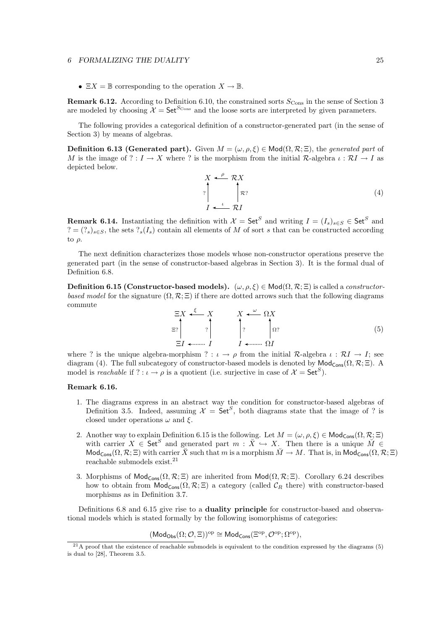•  $\Xi X = \mathbb{B}$  corresponding to the operation  $X \to \mathbb{B}$ .

**Remark 6.12.** According to Definition 6.10, the constrained sorts  $S_{\text{Cons}}$  in the sense of Section 3 are modeled by choosing  $\mathcal{X} = \mathsf{Set}^{S_{\text{Cons}}}$  and the loose sorts are interpreted by given parameters.

The following provides a categorical definition of a constructor-generated part (in the sense of Section 3) by means of algebras.

**Definition 6.13 (Generated part).** Given  $M = (\omega, \rho, \xi) \in Mod(\Omega, \mathcal{R}; \Xi)$ , the generated part of M is the image of ? :  $I \to X$  where ? is the morphism from the initial R-algebra  $\iota : \mathcal{R}I \to I$  as depicted below.

> $X \xleftarrow{\rho} \mathcal{R}X$ I  $\int$  $\stackrel{\iota}{\longrightarrow} \mathcal{R}I$ R?  $\mathcal{R}$ ? (4)

**Remark 6.14.** Instantiating the definition with  $\mathcal{X} = \mathsf{Set}^S$  and writing  $I = (I_s)_{s \in S} \in \mathsf{Set}^S$  and  $? = (?_s)_{s \in S}$ , the sets  $?_s(I_s)$  contain all elements of M of sort s that can be constructed according to  $\rho$ .

The next definition characterizes those models whose non-constructor operations preserve the generated part (in the sense of constructor-based algebras in Section 3). It is the formal dual of Definition 6.8.

**Definition 6.15 (Constructor-based models).**  $(\omega, \rho, \xi) \in \text{Mod}(\Omega, \mathcal{R}; \Xi)$  is called a *constructor*based model for the signature  $(\Omega, \mathcal{R}; \Xi)$  if there are dotted arrows such that the following diagrams commute



where ? is the unique algebra-morphism ? :  $\iota \to \rho$  from the initial R-algebra  $\iota : \mathcal{R}I \to I$ ; see diagram (4). The full subcategory of constructor-based models is denoted by  $\mathsf{Mod}_{\mathsf{Cons}}(\Omega,\mathcal{R};\Xi)$ . A model is reachable if ? :  $\iota \to \rho$  is a quotient (i.e. surjective in case of  $\mathcal{X} = \mathsf{Set}^S$ ).

#### **Remark 6.16.**

- 1. The diagrams express in an abstract way the condition for constructor-based algebras of Definition 3.5. Indeed, assuming  $\mathcal{X} = \mathsf{Set}^S$ , both diagrams state that the image of ? is closed under operations  $\omega$  and  $\xi$ .
- 2. Another way to explain Definition 6.15 is the following. Let  $M = (\omega, \rho, \xi) \in \mathsf{Mod}_{\mathsf{Cons}}(\Omega, \mathcal{R}; \Xi)$ with carrier  $X \in \mathsf{Set}^S$  and generated part  $m : \check{X} \hookrightarrow X$ . Then there is a unique  $\check{M} \in$  $\mathsf{Mod}_{\mathsf{Cons}}(\Omega,\mathcal{R};\Xi)$  with carrier  $\check{X}$  such that m is a morphism  $\check{M}\to M$ . That is, in  $\mathsf{Mod}_{\mathsf{Cons}}(\Omega,\mathcal{R};\Xi)$ reachable submodels exist. $21$
- 3. Morphisms of  $\mathsf{Mod}_{\mathsf{Cons}}(\Omega,\mathcal{R};\Xi)$  are inherited from  $\mathsf{Mod}(\Omega,\mathcal{R};\Xi)$ . Corollary 6.24 describes how to obtain from  $\text{Mod}_{\text{Cons}}(\Omega, \mathcal{R}; \Xi)$  a category (called  $\mathcal{C}_R$  there) with constructor-based morphisms as in Definition 3.7.

Definitions 6.8 and 6.15 give rise to a **duality principle** for constructor-based and observational models which is stated formally by the following isomorphisms of categories:

$$
(\mathsf{Mod}_{\mathsf{Obs}}(\Omega; \mathcal{O}, \Xi))^{\mathrm{op}} \cong \mathsf{Mod}_{\mathsf{Cons}}(\Xi^{\mathrm{op}}, \mathcal{O}^{\mathrm{op}}; \Omega^{\mathrm{op}}),
$$

 $^{21}$ A proof that the existence of reachable submodels is equivalent to the condition expressed by the diagrams (5) is dual to [28], Theorem 3.5.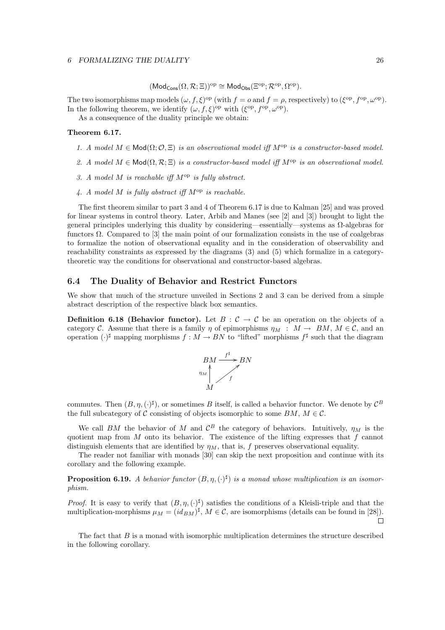$$
(\mathsf{Mod}_{\mathsf{Cons}}(\Omega,\mathcal{R};\Xi))^{\mathrm{op}}\cong\mathsf{Mod}_{\mathsf{Obs}}(\Xi^{\mathrm{op}};\mathcal{R}^{\mathrm{op}},\Omega^{\mathrm{op}}).
$$

The two isomorphisms map models  $(\omega, f, \xi)$ <sup>op</sup> (with  $f = o$  and  $f = \rho$ , respectively) to  $(\xi^{\rm op}, f^{\rm op}, \omega^{\rm op})$ . In the following theorem, we identify  $(\omega, f, \xi)$ <sup>op</sup> with  $(\xi^{\text{op}}, f^{\text{op}}, \omega^{\text{op}})$ .

As a consequence of the duality principle we obtain:

#### **Theorem 6.17.**

- 1. A model  $M \in \text{Mod}(\Omega; \mathcal{O}, \Xi)$  is an observational model iff  $M^{\text{op}}$  is a constructor-based model.
- 2. A model  $M \in Mod(\Omega, \mathcal{R}; \Xi)$  is a constructor-based model iff  $M^{\rm op}$  is an observational model.
- 3. A model M is reachable iff  $M^{op}$  is fully abstract.
- 4. A model M is fully abstract iff  $M^{op}$  is reachable.

The first theorem similar to part 3 and 4 of Theorem 6.17 is due to Kalman [25] and was proved for linear systems in control theory. Later, Arbib and Manes (see [2] and [3]) brought to light the general principles underlying this duality by considering—essentially—systems as Ω-algebras for functors Ω. Compared to [3] the main point of our formalization consists in the use of coalgebras to formalize the notion of observational equality and in the consideration of observability and reachability constraints as expressed by the diagrams (3) and (5) which formalize in a categorytheoretic way the conditions for observational and constructor-based algebras.

# **6.4 The Duality of Behavior and Restrict Functors**

We show that much of the structure unveiled in Sections 2 and 3 can be derived from a simple abstract description of the respective black box semantics.

**Definition 6.18 (Behavior functor).** Let  $B : C \to C$  be an operation on the objects of a category C. Assume that there is a family  $\eta$  of epimorphisms  $\eta_M : M \to BM$ ,  $M \in \mathcal{C}$ , and an operation  $(\cdot)^\sharp$  mapping morphisms  $f : M \to BN$  to "lifted" morphisms  $f^\sharp$  such that the diagram



commutes. Then  $(B, \eta, (\cdot)^{\sharp})$ , or sometimes B itself, is called a behavior functor. We denote by  $\mathcal{C}^B$ the full subcategory of C consisting of objects isomorphic to some  $BM$ ,  $M \in \mathcal{C}$ .

We call BM the behavior of M and  $\mathcal{C}^B$  the category of behaviors. Intuitively,  $\eta_M$  is the quotient map from  $M$  onto its behavior. The existence of the lifting expresses that  $f$  cannot distinguish elements that are identified by  $\eta_M$ , that is, f preserves observational equality.

The reader not familiar with monads [30] can skip the next proposition and continue with its corollary and the following example.

**Proposition 6.19.** A behavior functor  $(B, \eta, (\cdot)^{\sharp})$  is a monad whose multiplication is an isomorphism.

*Proof.* It is easy to verify that  $(B, \eta, (\cdot)^{\sharp})$  satisfies the conditions of a Kleisli-triple and that the multiplication-morphisms  $\mu_M = (id_{BM})^{\sharp}$ ,  $M \in \mathcal{C}$ , are isomorphisms (details can be found in [28]).

The fact that  $B$  is a monad with isomorphic multiplication determines the structure described in the following corollary.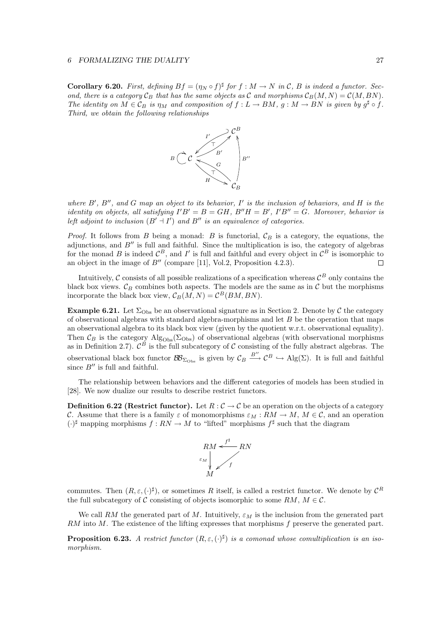**Corollary 6.20.** First, defining  $Bf = (\eta_N \circ f)^{\sharp}$  for  $f : M \to N$  in C, B is indeed a functor. Second, there is a category  $C_B$  that has the same objects as C and morphisms  $C_B(M,N) = C(M,BN)$ . The identity on  $M \in \mathcal{C}_B$  is  $\eta_M$  and composition of  $f: L \to BM$ ,  $g: M \to BN$  is given by  $g^{\sharp} \circ f$ . Third, we obtain the following relationships



where  $B'$ ,  $B''$ , and G map an object to its behavior, I' is the inclusion of behaviors, and H is the identity on objects, all satisfying  $I'B' = B = GH$ ,  $B''H = B'$ ,  $I'B'' = G$ . Moreover, behavior is left adjoint to inclusion  $(B' \dashv I')$  and  $B''$  is an equivalence of categories.

*Proof.* It follows from B being a monad: B is functorial,  $\mathcal{C}_B$  is a category, the equations, the adjunctions, and  $B''$  is full and faithful. Since the multiplication is iso, the category of algebras for the monad B is indeed  $\mathcal{C}^B$ , and I' is full and faithful and every object in  $\mathcal{C}^B$  is isomorphic to an object in the image of  $B''$  (compare [11], Vol.2, Proposition 4.2.3).  $\Box$ 

Intuitively,  $\mathcal C$  consists of all possible realizations of a specification whereas  $\mathcal C^B$  only contains the black box views.  $\mathcal{C}_B$  combines both aspects. The models are the same as in  $\mathcal C$  but the morphisms incorporate the black box view,  $C_B(M,N) = C^B(BM,BN)$ .

**Example 6.21.** Let  $\Sigma_{\text{Obs}}$  be an observational signature as in Section 2. Denote by C the category of observational algebras with standard algebra-morphisms and let  $B$  be the operation that maps an observational algebra to its black box view (given by the quotient w.r.t. observational equality). Then  $\mathcal{C}_B$  is the category  $\text{Alg}_{\text{Obs}}(\Sigma_{\text{Obs}})$  of observational algebras (with observational morphisms as in Definition 2.7).  $\mathcal{C}^B$  is the full subcategory of  $\mathcal C$  consisting of the fully abstract algebras. The observational black box functor  $\mathcal{BB}_{\Sigma_{\text{Obs}}}$  is given by  $\mathcal{C}_B \stackrel{B''}{\longrightarrow} \mathcal{C}^B \hookrightarrow \text{Alg}(\Sigma)$ . It is full and faithful since  $B''$  is full and faithful.

The relationship between behaviors and the different categories of models has been studied in [28]. We now dualize our results to describe restrict functors.

**Definition 6.22 (Restrict functor).** Let  $R : \mathcal{C} \to \mathcal{C}$  be an operation on the objects of a category C. Assume that there is a family  $\varepsilon$  of monomorphisms  $\varepsilon_M : RM \to M$ ,  $M \in \mathcal{C}$ , and an operation  $(\cdot)^\sharp$  mapping morphisms  $f : RN \to M$  to "lifted" morphisms  $f^\sharp$  such that the diagram



commutes. Then  $(R, \varepsilon, (\cdot)^{\sharp})$ , or sometimes R itself, is called a restrict functor. We denote by  $\mathcal{C}^R$ the full subcategory of C consisting of objects isomorphic to some RM,  $M \in \mathcal{C}$ .

We call RM the generated part of M. Intuitively,  $\varepsilon_M$  is the inclusion from the generated part  $RM$  into M. The existence of the lifting expresses that morphisms f preserve the generated part.

**Proposition 6.23.** A restrict functor  $(R, \varepsilon, (\cdot)^\sharp)$  is a comonad whose comultiplication is an isomorphism.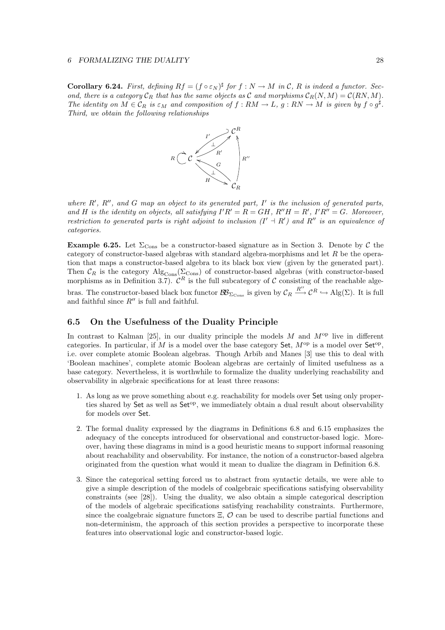**Corollary 6.24.** First, defining  $Rf = (f \circ \varepsilon_N)^{\sharp}$  for  $f : N \to M$  in C, R is indeed a functor. Second, there is a category  $C_R$  that has the same objects as C and morphisms  $C_R(N,M) = C(RN,M)$ . The identity on  $M \in \mathcal{C}_R$  is  $\varepsilon_M$  and composition of  $f : RM \to L$ ,  $g : RN \to M$  is given by  $f \circ g^{\sharp}$ . Third, we obtain the following relationships



where  $R'$ ,  $R''$ , and G map an object to its generated part, I' is the inclusion of generated parts, and H is the identity on objects, all satisfying  $I'R' = R = GH$ ,  $R''H = R'$ ,  $I'R'' = G$ . Moreover, restriction to generated parts is right adjoint to inclusion  $(I' + R')$  and  $R''$  is an equivalence of categories.

**Example 6.25.** Let  $\Sigma_{\text{Cons}}$  be a constructor-based signature as in Section 3. Denote by C the category of constructor-based algebras with standard algebra-morphisms and let  $R$  be the operation that maps a constructor-based algebra to its black box view (given by the generated part). Then  $\mathcal{C}_R$  is the category  $\text{Alg}_{\text{Cons}}(\Sigma_{\text{Cons}})$  of constructor-based algebras (with constructor-based morphisms as in Definition 3.7).  $\mathcal{C}^R$  is the full subcategory of C consisting of the reachable algebras. The constructor-based black box functor  $\mathcal{BB}_{\Sigma_{\text{Cons}}}$  is given by  $\mathcal{C}_R \stackrel{R''}{\longrightarrow} \mathcal{C}^R \hookrightarrow \text{Alg}(\Sigma)$ . It is full and faithful since  $R''$  is full and faithful.

## **6.5 On the Usefulness of the Duality Principle**

In contrast to Kalman [25], in our duality principle the models  $M$  and  $M^{\rm op}$  live in different categories. In particular, if M is a model over the base category Set,  $M^{\rm op}$  is a model over Set<sup>op</sup>, i.e. over complete atomic Boolean algebras. Though Arbib and Manes [3] use this to deal with 'Boolean machines', complete atomic Boolean algebras are certainly of limited usefulness as a base category. Nevertheless, it is worthwhile to formalize the duality underlying reachability and observability in algebraic specifications for at least three reasons:

- 1. As long as we prove something about e.g. reachability for models over Set using only properties shared by Set as well as Set<sup>op</sup>, we immediately obtain a dual result about observability for models over Set.
- 2. The formal duality expressed by the diagrams in Definitions 6.8 and 6.15 emphasizes the adequacy of the concepts introduced for observational and constructor-based logic. Moreover, having these diagrams in mind is a good heuristic means to support informal reasoning about reachability and observability. For instance, the notion of a constructor-based algebra originated from the question what would it mean to dualize the diagram in Definition 6.8.
- 3. Since the categorical setting forced us to abstract from syntactic details, we were able to give a simple description of the models of coalgebraic specifications satisfying observability constraints (see [28]). Using the duality, we also obtain a simple categorical description of the models of algebraic specifications satisfying reachability constraints. Furthermore, since the coalgebraic signature functors  $\Xi$ ,  $\mathcal{O}$  can be used to describe partial functions and non-determinism, the approach of this section provides a perspective to incorporate these features into observational logic and constructor-based logic.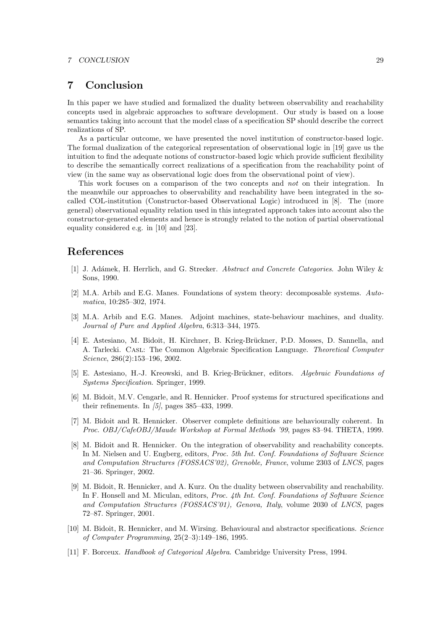#### *7 CONCLUSION* 29

# **7 Conclusion**

In this paper we have studied and formalized the duality between observability and reachability concepts used in algebraic approaches to software development. Our study is based on a loose semantics taking into account that the model class of a specification SP should describe the correct realizations of SP.

As a particular outcome, we have presented the novel institution of constructor-based logic. The formal dualization of the categorical representation of observational logic in [19] gave us the intuition to find the adequate notions of constructor-based logic which provide sufficient flexibility to describe the semantically correct realizations of a specification from the reachability point of view (in the same way as observational logic does from the observational point of view).

This work focuses on a comparison of the two concepts and not on their integration. In the meanwhile our approaches to observability and reachability have been integrated in the socalled COL-institution (Constructor-based Observational Logic) introduced in [8]. The (more general) observational equality relation used in this integrated approach takes into account also the constructor-generated elements and hence is strongly related to the notion of partial observational equality considered e.g. in [10] and [23].

# **References**

- [1] J. Adámek, H. Herrlich, and G. Strecker. Abstract and Concrete Categories. John Wiley & Sons, 1990.
- [2] M.A. Arbib and E.G. Manes. Foundations of system theory: decomposable systems. Automatica, 10:285–302, 1974.
- [3] M.A. Arbib and E.G. Manes. Adjoint machines, state-behaviour machines, and duality. Journal of Pure and Applied Algebra, 6:313–344, 1975.
- [4] E. Astesiano, M. Bidoit, H. Kirchner, B. Krieg-Brückner, P.D. Mosses, D. Sannella, and A. Tarlecki. Casl: The Common Algebraic Specification Language. Theoretical Computer Science, 286(2):153–196, 2002.
- [5] E. Astesiano, H.-J. Kreowski, and B. Krieg-Brückner, editors. Algebraic Foundations of Systems Specification. Springer, 1999.
- [6] M. Bidoit, M.V. Cengarle, and R. Hennicker. Proof systems for structured specifications and their refinements. In  $\langle 5 \rangle$ , pages 385–433, 1999.
- [7] M. Bidoit and R. Hennicker. Observer complete definitions are behaviourally coherent. In Proc. OBJ/CafeOBJ/Maude Workshop at Formal Methods '99, pages 83–94. THETA, 1999.
- [8] M. Bidoit and R. Hennicker. On the integration of observability and reachability concepts. In M. Nielsen and U. Engberg, editors, Proc. 5th Int. Conf. Foundations of Software Science and Computation Structures (FOSSACS'02), Grenoble, France, volume 2303 of LNCS, pages 21–36. Springer, 2002.
- [9] M. Bidoit, R. Hennicker, and A. Kurz. On the duality between observability and reachability. In F. Honsell and M. Miculan, editors, Proc. 4th Int. Conf. Foundations of Software Science and Computation Structures (FOSSACS'01), Genova, Italy, volume 2030 of LNCS, pages 72–87. Springer, 2001.
- [10] M. Bidoit, R. Hennicker, and M. Wirsing. Behavioural and abstractor specifications. Science of Computer Programming, 25(2–3):149–186, 1995.
- [11] F. Borceux. Handbook of Categorical Algebra. Cambridge University Press, 1994.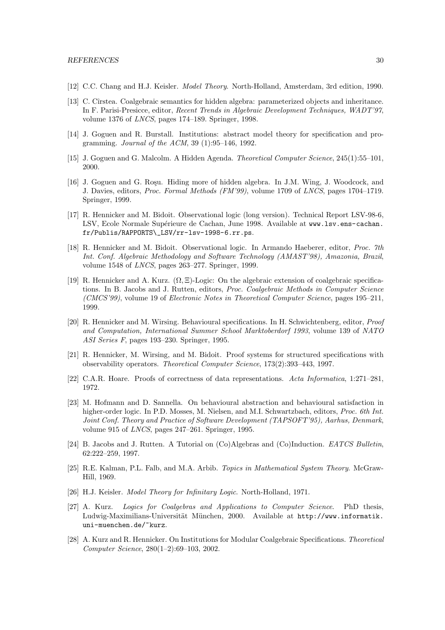- [12] C.C. Chang and H.J. Keisler. Model Theory. North-Holland, Amsterdam, 3rd edition, 1990.
- [13] C. Cîrstea. Coalgebraic semantics for hidden algebra: parameterized objects and inheritance. In F. Parisi-Presicce, editor, Recent Trends in Algebraic Development Techniques, WADT'97, volume 1376 of LNCS, pages 174–189. Springer, 1998.
- [14] J. Goguen and R. Burstall. Institutions: abstract model theory for specification and programming. Journal of the ACM, 39 (1):95–146, 1992.
- [15] J. Goguen and G. Malcolm. A Hidden Agenda. Theoretical Computer Science, 245(1):55–101, 2000.
- [16] J. Goguen and G. Roşu. Hiding more of hidden algebra. In J.M. Wing, J. Woodcock, and J. Davies, editors, Proc. Formal Methods (FM'99), volume 1709 of LNCS, pages 1704–1719. Springer, 1999.
- [17] R. Hennicker and M. Bidoit. Observational logic (long version). Technical Report LSV-98-6, LSV, Ecole Normale Supérieure de Cachan, June 1998. Available at www.lsv.ens-cachan. fr/Publis/RAPPORTS\\_LSV/rr-lsv-1998-6.rr.ps.
- [18] R. Hennicker and M. Bidoit. Observational logic. In Armando Haeberer, editor, Proc. 7th Int. Conf. Algebraic Methodology and Software Technology (AMAST'98), Amazonia, Brazil, volume 1548 of LNCS, pages 263–277. Springer, 1999.
- [19] R. Hennicker and A. Kurz.  $(\Omega, \Xi)$ -Logic: On the algebraic extension of coalgebraic specifications. In B. Jacobs and J. Rutten, editors, Proc. Coalgebraic Methods in Computer Science (CMCS'99), volume 19 of Electronic Notes in Theoretical Computer Science, pages 195–211, 1999.
- [20] R. Hennicker and M. Wirsing. Behavioural specifications. In H. Schwichtenberg, editor, Proof and Computation, International Summer School Marktoberdorf 1993, volume 139 of NATO ASI Series F, pages 193–230. Springer, 1995.
- [21] R. Hennicker, M. Wirsing, and M. Bidoit. Proof systems for structured specifications with observability operators. Theoretical Computer Science, 173(2):393–443, 1997.
- [22] C.A.R. Hoare. Proofs of correctness of data representations. Acta Informatica, 1:271–281, 1972.
- [23] M. Hofmann and D. Sannella. On behavioural abstraction and behavioural satisfaction in higher-order logic. In P.D. Mosses, M. Nielsen, and M.I. Schwartzbach, editors, *Proc. 6th Int.* Joint Conf. Theory and Practice of Software Development (TAPSOFT'95), Aarhus, Denmark, volume 915 of LNCS, pages 247–261. Springer, 1995.
- [24] B. Jacobs and J. Rutten. A Tutorial on (Co)Algebras and (Co)Induction. EATCS Bulletin, 62:222–259, 1997.
- [25] R.E. Kalman, P.L. Falb, and M.A. Arbib. Topics in Mathematical System Theory. McGraw-Hill, 1969.
- [26] H.J. Keisler. *Model Theory for Infinitary Logic*. North-Holland, 1971.
- [27] A. Kurz. Logics for Coalgebras and Applications to Computer Science. PhD thesis, Ludwig-Maximilians-Universität München, 2000. Available at http://www.informatik. uni-muenchen.de/~kurz.
- [28] A. Kurz and R. Hennicker. On Institutions for Modular Coalgebraic Specifications. Theoretical Computer Science, 280(1–2):69–103, 2002.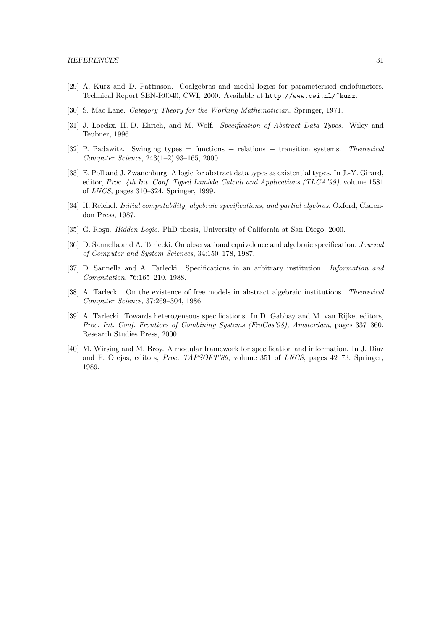- [29] A. Kurz and D. Pattinson. Coalgebras and modal logics for parameterised endofunctors. Technical Report SEN-R0040, CWI, 2000. Available at http://www.cwi.nl/~kurz.
- [30] S. Mac Lane. Category Theory for the Working Mathematician. Springer, 1971.
- [31] J. Loeckx, H.-D. Ehrich, and M. Wolf. Specification of Abstract Data Types. Wiley and Teubner, 1996.
- [32] P. Padawitz. Swinging types = functions + relations + transition systems. Theoretical Computer Science, 243(1–2):93–165, 2000.
- [33] E. Poll and J. Zwanenburg. A logic for abstract data types as existential types. In J.-Y. Girard, editor, Proc. 4th Int. Conf. Typed Lambda Calculi and Applications (TLCA'99), volume 1581 of LNCS, pages 310–324. Springer, 1999.
- [34] H. Reichel. *Initial computability, algebraic specifications, and partial algebras*. Oxford, Clarendon Press, 1987.
- [35] G. Roşu. *Hidden Logic*. PhD thesis, University of California at San Diego, 2000.
- [36] D. Sannella and A. Tarlecki. On observational equivalence and algebraic specification. Journal of Computer and System Sciences, 34:150–178, 1987.
- [37] D. Sannella and A. Tarlecki. Specifications in an arbitrary institution. Information and Computation, 76:165–210, 1988.
- [38] A. Tarlecki. On the existence of free models in abstract algebraic institutions. Theoretical Computer Science, 37:269–304, 1986.
- [39] A. Tarlecki. Towards heterogeneous specifications. In D. Gabbay and M. van Rijke, editors, Proc. Int. Conf. Frontiers of Combining Systems (FroCos'98), Amsterdam, pages 337–360. Research Studies Press, 2000.
- [40] M. Wirsing and M. Broy. A modular framework for specification and information. In J. Diaz and F. Orejas, editors, Proc. TAPSOFT'89, volume 351 of LNCS, pages 42–73. Springer, 1989.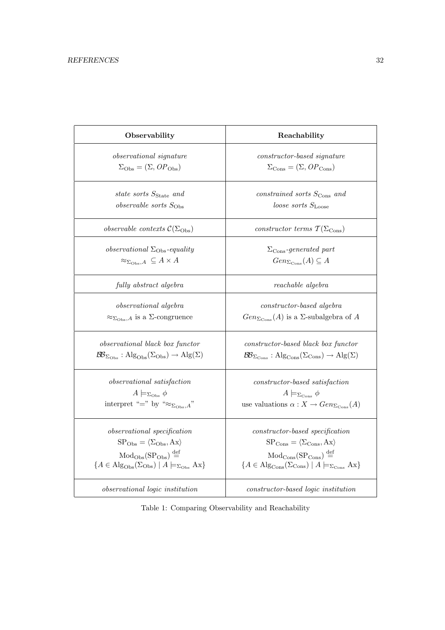| Observability                                                                                                        | Reachability                                                                                                                     |
|----------------------------------------------------------------------------------------------------------------------|----------------------------------------------------------------------------------------------------------------------------------|
| <i>observational signature</i>                                                                                       | constructor-based signature                                                                                                      |
| $\Sigma_{\rm Obs} = (\Sigma, OP_{\rm Obs})$                                                                          | $\Sigma_{\rm Cons} = (\Sigma, OP_{\rm Cons})$                                                                                    |
| state sorts S <sub>State</sub> and                                                                                   | constrained sorts $S_{\text{Cons}}$ and                                                                                          |
| $\emph{observable sorts }$ S <sub>Obs</sub>                                                                          | loose sorts $S_{\text{Loose}}$                                                                                                   |
| observable contexts $\mathcal{C}(\Sigma_{\mathrm{Obs}})$                                                             | constructor terms $\mathcal{T}(\Sigma_{\text{Cons}})$                                                                            |
| <i>observational</i> $\Sigma_{\rm Obs}$ -equality                                                                    | $\Sigma_{\rm Cons}\text{-}generated$ part                                                                                        |
| $\approx_{\Sigma_{\text{Obs}},A} \subseteq A \times A$                                                               | $Gen_{\Sigma_{\text{Cons}}}(A) \subseteq A$                                                                                      |
| fully abstract algebra                                                                                               | reachable algebra                                                                                                                |
| observational algebra                                                                                                | constructor-based algebra                                                                                                        |
| $\approx_{\Sigma_{\text{Obs}},A}$ is a $\Sigma$ -congruence                                                          | $Gen_{\Sigma_{\text{Cons}}}(A)$ is a $\Sigma$ -subalgebra of A                                                                   |
| observational black box functor                                                                                      | constructor-based black box functor                                                                                              |
| $\mathcal{BB}_{\Sigma_{\mathrm{Obs}}} : \mathrm{Alg}_{\mathrm{Obs}}(\Sigma_{\mathrm{Obs}}) \to \mathrm{Alg}(\Sigma)$ | $\mathcal{B}\!\mathcal{B}_{\Sigma_{\text{Cons}}}$ : Alg <sub>Cons</sub> ( $\Sigma_{\text{Cons}}$ ) $\rightarrow$ Alg( $\Sigma$ ) |
| observational satisfaction                                                                                           | $constructor-based\ satisfaction$                                                                                                |
| $A \models_{\Sigma_{\text{Obs}}} \phi$                                                                               | $A \models_{\Sigma_{\text{Cons}}} \phi$                                                                                          |
| interpret "=" by " $\approx_{\Sigma_{\text{Obs}},A}$ "                                                               | use valuations $\alpha: X \to Gen_{\Sigma_{\text{Cons}}}(A)$                                                                     |
| observational specification                                                                                          | $constructor-based specification$                                                                                                |
| $SPObs = \langle \Sigma_{Obs}, Ax \rangle$                                                                           | $SP_{\text{Cons}} = \langle \Sigma_{\text{Cons}}, Ax \rangle$                                                                    |
| $Mod_{Obs}(SP_{Obs}) \stackrel{\text{def}}{=}$                                                                       | $Mod_{Cons}(SP_{Cons}) \stackrel{\text{def}}{=}$                                                                                 |
| $\{A \in \text{Alg}_{\text{Obs}}(\Sigma_{\text{Obs}}) \mid A \models_{\Sigma_{\text{Obs}}} Ax\}$                     | $\{A \in \text{Alg}_{\text{Cons}}(\Sigma_{\text{Cons}}) \mid A \models_{\Sigma_{\text{Cons}}} Ax\}$                              |
| observational logic institution                                                                                      | constructor-based logic institution                                                                                              |

Table 1: Comparing Observability and Reachability